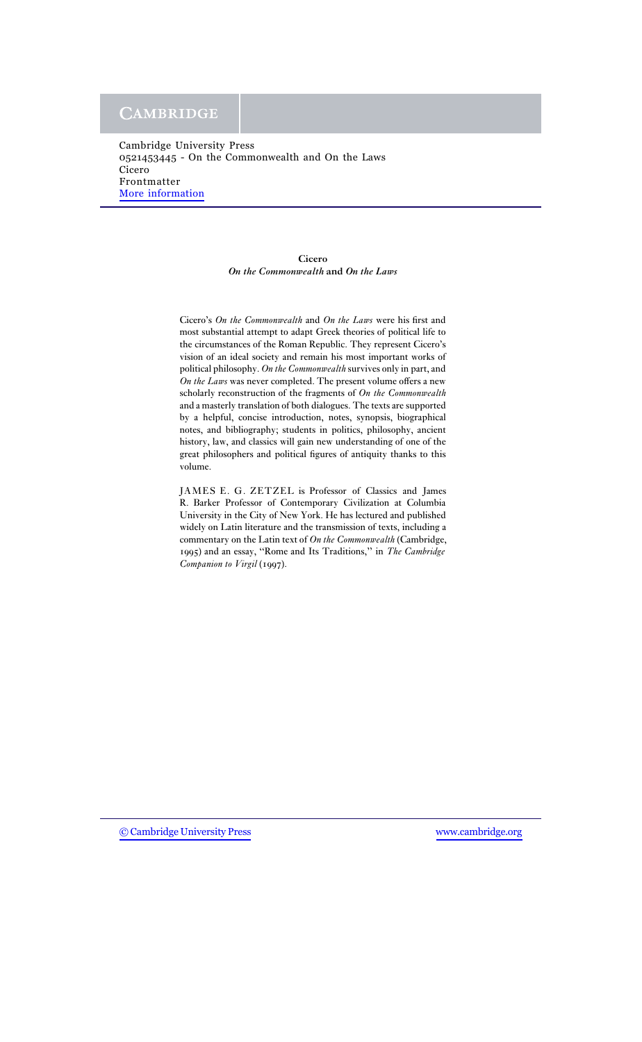Cambridge University Press 0521453445 - On the Commonwealth and On the Laws Cicero Frontmatter [More information](http://www.cambridge.org/0521453445)

#### **Cicero** *On the Commonwealth* **and** *On the Laws*

Cicero's *On the Commonwealth* and *On the Laws* were his first and most substantial attempt to adapt Greek theories of political life to the circumstances of the Roman Republic. They represent Cicero's vision of an ideal society and remain his most important works of political philosophy.*On the Commonwealth* survives only in part, and *On the Laws* was never completed. The present volume offers a new scholarly reconstruction of the fragments of *On the Commonwealth* and a masterly translation of both dialogues. The texts are supported by a helpful, concise introduction, notes, synopsis, biographical notes, and bibliography; students in politics, philosophy, ancient history, law, and classics will gain new understanding of one of the great philosophers and political figures of antiquity thanks to this volume.

JAMES E. G. ZETZEL is Professor of Classics and James R. Barker Professor of Contemporary Civilization at Columbia University in the City of New York. He has lectured and published widely on Latin literature and the transmission of texts, including a commentary on the Latin text of *On the Commonwealth* (Cambridge, ) and an essay, ''Rome and Its Traditions,'' in *The Cambridge Companion to Virgil* (1997).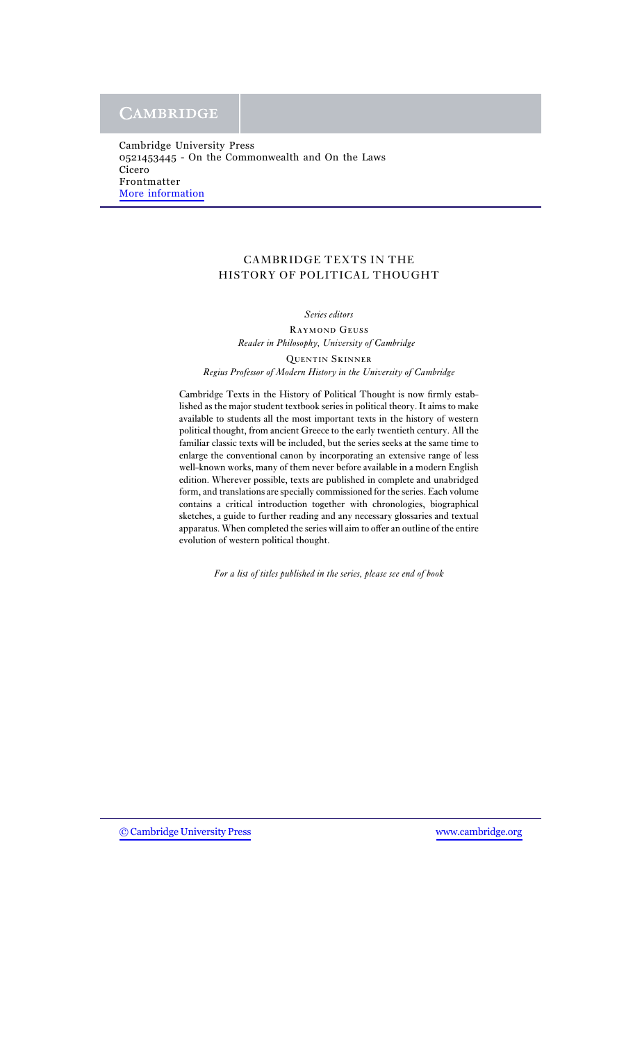## CAMBRIDGE TEXTS IN THE HISTORY OF POLITICAL THOUGHT

#### *Series editors*

**RAYMOND GEUSS** *Reader in Philosophy, University of Cambridge* **QUENTIN SKINNER** *Regius Professor of Modern History in the University of Cambridge*

Cambridge Texts in the History of Political Thought is now firmly established as the major student textbook series in political theory. It aims to make available to students all the most important texts in the history of western political thought, from ancient Greece to the early twentieth century. All the familiar classic texts will be included, but the series seeks at the same time to enlarge the conventional canon by incorporating an extensive range of less well-known works, many of them never before available in a modern English edition. Wherever possible, texts are published in complete and unabridged form, and translations are specially commissioned for the series. Each volume contains a critical introduction together with chronologies, biographical sketches, a guide to further reading and any necessary glossaries and textual apparatus. When completed the series will aim to offer an outline of the entire evolution of western political thought.

*For a list of titles published in the series, please see end of book*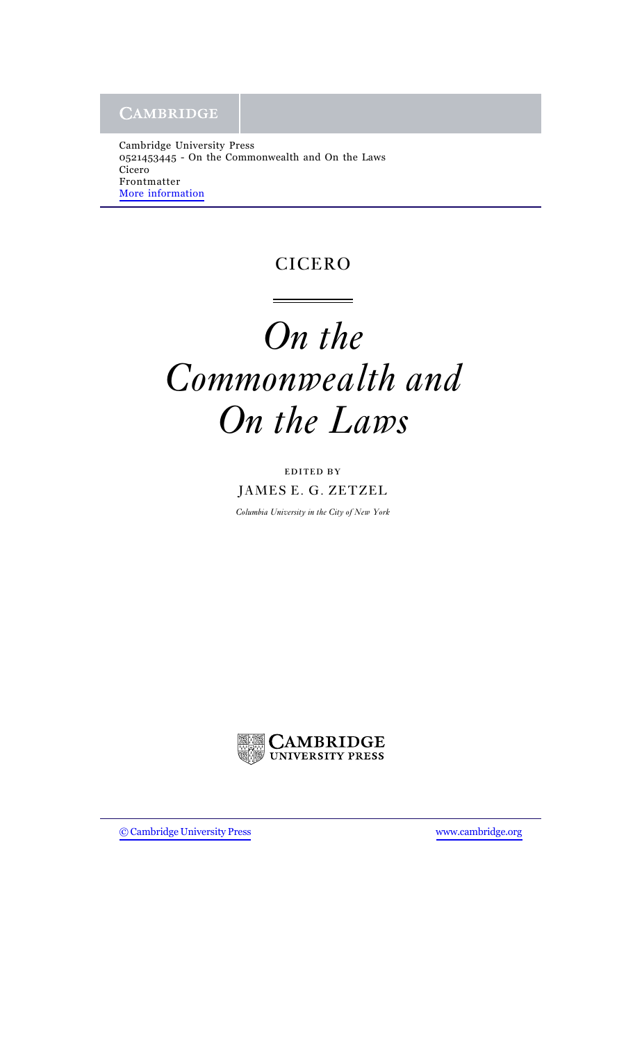## CICERO

# *On the Commonwealth and On the Laws*

## **EDITED BY** JAMES E. G. ZETZEL

*Columbia University in the City of New York*

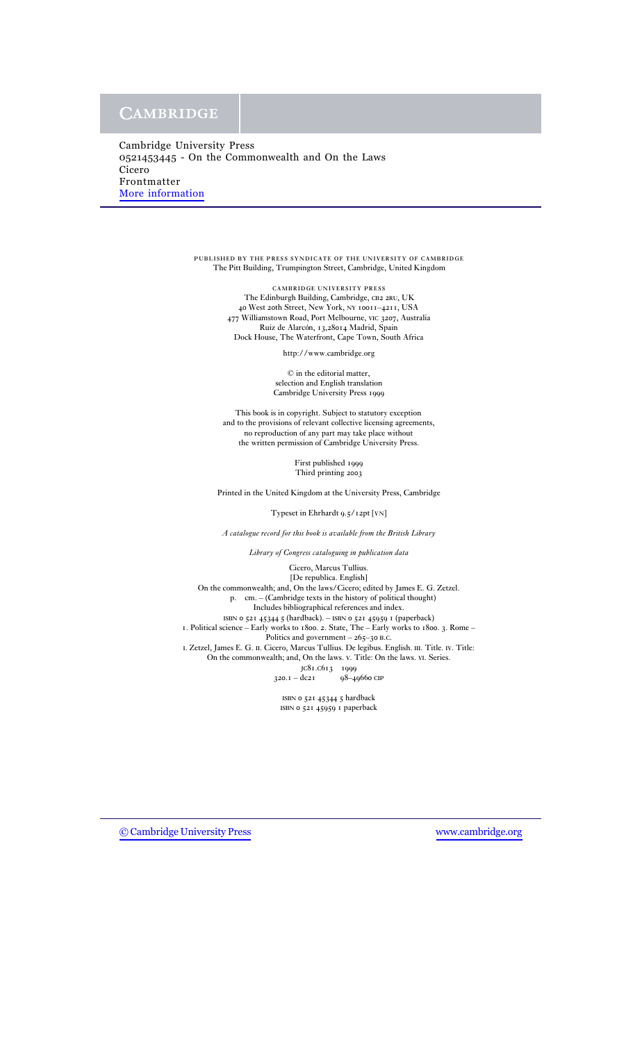Cambridge University Press 0521453445 - On the Commonwealth and On the Laws Cicero Frontmatter [More information](http://www.cambridge.org/0521453445)

> PUBLISHED BY THE PRESS SYNDICATE OF THE UNIVERSITY OF CAMBRIDGE The Pitt Building, Trumpington Street, Cambridge, United Kingdom

> > **CAMBRIDGE UNIVERSITY PRESS** The Edinburgh Building, Cambridge, CB2 2RU, UK 40 West 20th Street, New York, NY 10011-4211, USA 477 Williamstown Road, Port Melbourne, vic 3207, Australia Ruiz de Alarcón, 13,28014 Madrid, Spain Dock House, The Waterfront, Cape Town, South Africa

> > > http://www.cambridge.org

© in the editorial matter, selection and English translation Cambridge University Press

This book is in copyright. Subject to statutory exception and to the provisions of relevant collective licensing agreements, no reproduction of any part may take place without the written permission of Cambridge University Press.

> First published Third printing 2003

Printed in the United Kingdom at the University Press, Cambridge

Typeset in Ehrhardt  $9.5/12pt$  [VN]

*A catalogue record for this book is available from the British Library*

*Library of Congress cataloguing in publication data*

Cicero, Marcus Tullius. [De republica. English] On the commonwealth; and, On the laws/Cicero; edited by James E. G. Zetzel. p. cm. – (Cambridge texts in the history of political thought) Includes bibliographical references and index. ISBN 0 521 45344 5 (hardback). – ISBN 0 521 45959 1 (paperback) 1. Political science – Early works to 1800. 2. State, The – Early works to 1800. 3. Rome – Politics and government  $-265-30$  B.C. I. Zetzel, James E. G. II. Cicero, Marcus Tullius. De legibus. English. III. Title. IV. Title: On the commonwealth; and, On the laws. v. Title: On the laws. vi. Series. JC81.C613 1999  $320.1 - dc21$   $98-49660$  CIP

> ISBN 0521453445 hardback ISBN 0 521 45959 I paperback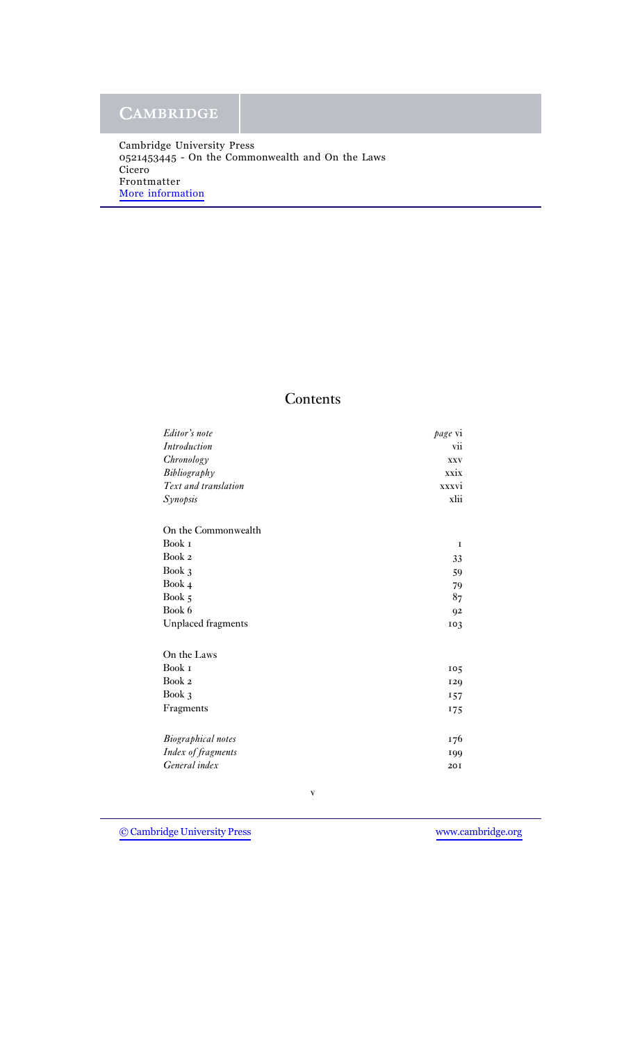Cambridge University Press 0521453445 - On the Commonwealth and On the Laws Cicero Frontmatter [More information](http://www.cambridge.org/0521453445)

## **Contents**

| Editor's note             | page vi      |
|---------------------------|--------------|
| Introduction              | vii          |
| Chronology                | <b>XXV</b>   |
| Bibliography              | xxix         |
| Text and translation      | <b>xxxvi</b> |
| Synopsis                  | xlii         |
| On the Commonwealth       |              |
| Book I                    | $\mathbf I$  |
| Book 2                    | 33           |
| Book 3                    | 59           |
| Book 4                    | 79           |
| Book 5                    | 87           |
| Book 6                    | 92           |
| Unplaced fragments        | 103          |
| On the Laws               |              |
| Book 1                    | 105          |
| Book 2                    | 120          |
| Book 3                    | 157          |
| Fragments                 | 175          |
| <b>Biographical</b> notes | 176          |
| Index of fragments        | 199          |
| General index             | 201          |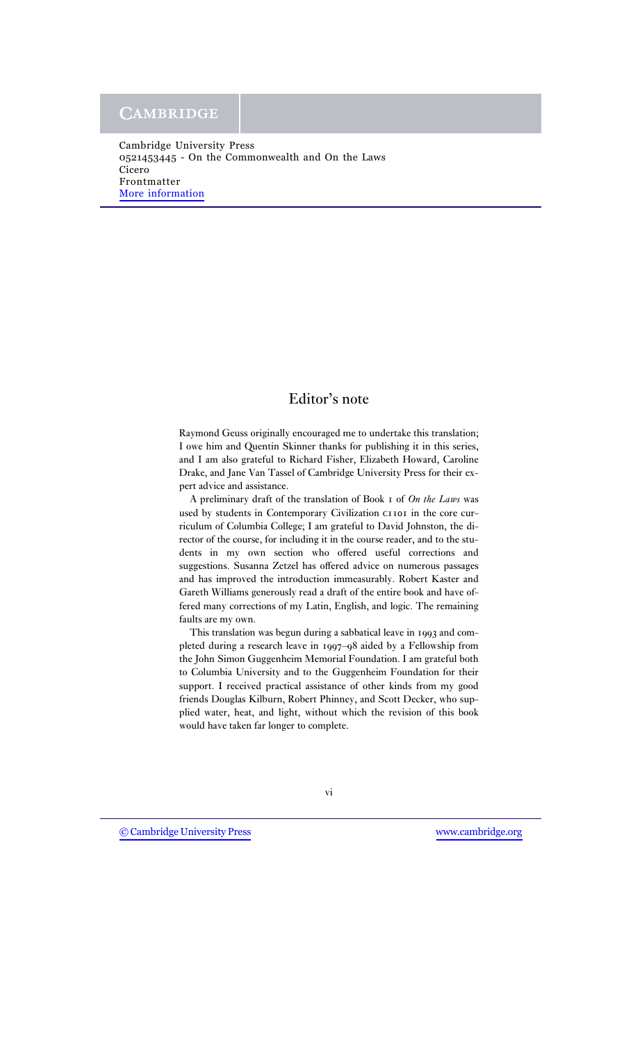Cambridge University Press 0521453445 - On the Commonwealth and On the Laws Cicero Frontmatter [More information](http://www.cambridge.org/0521453445)

## Editor's note

Raymond Geuss originally encouraged me to undertake this translation; I owe him and Quentin Skinner thanks for publishing it in this series, and I am also grateful to Richard Fisher, Elizabeth Howard, Caroline Drake, and Jane Van Tassel of Cambridge University Press for their expert advice and assistance.

A preliminary draft of the translation of Book I of *On the Laws* was used by students in Contemporary Civilization CIIOI in the core curriculum of Columbia College; I am grateful to David Johnston, the director of the course, for including it in the course reader, and to the students in my own section who offered useful corrections and suggestions. Susanna Zetzel has offered advice on numerous passages and has improved the introduction immeasurably. Robert Kaster and Gareth Williams generously read a draft of the entire book and have offered many corrections of my Latin, English, and logic. The remaining faults are my own.

This translation was begun during a sabbatical leave in 1993 and completed during a research leave in  $1997-98$  aided by a Fellowship from the John Simon Guggenheim Memorial Foundation. I am grateful both to Columbia University and to the Guggenheim Foundation for their support. I received practical assistance of other kinds from my good friends Douglas Kilburn, Robert Phinney, and Scott Decker, who supplied water, heat, and light, without which the revision of this book would have taken far longer to complete.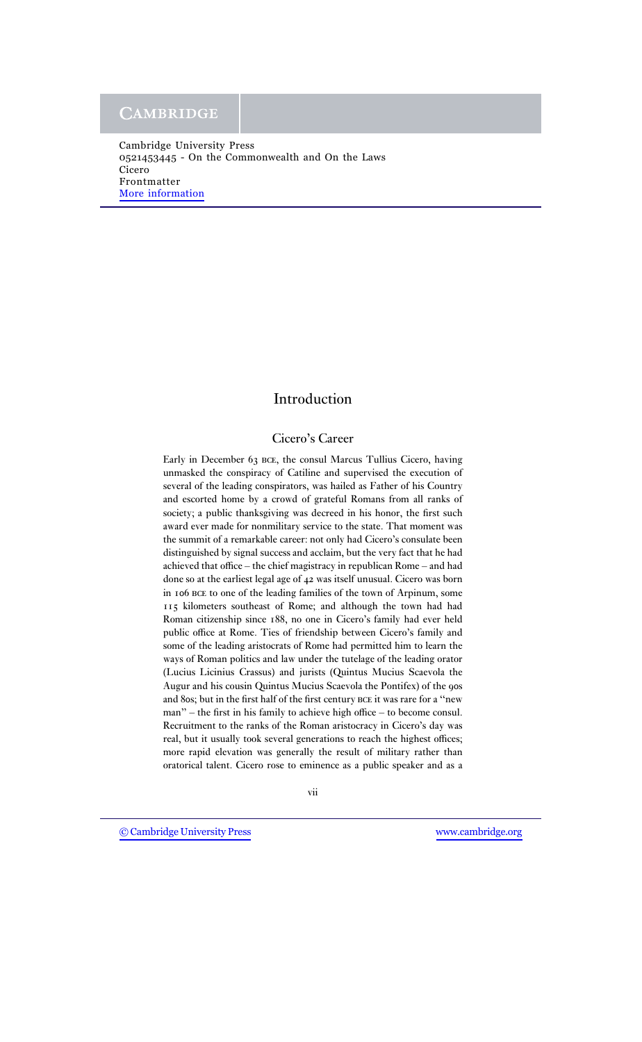Cambridge University Press 0521453445 - On the Commonwealth and On the Laws Cicero Frontmatter [More information](http://www.cambridge.org/0521453445)

## Introduction

#### Cicero's Career

Early in December 63 BCE, the consul Marcus Tullius Cicero, having unmasked the conspiracy of Catiline and supervised the execution of several of the leading conspirators, was hailed as Father of his Country and escorted home by a crowd of grateful Romans from all ranks of society; a public thanksgiving was decreed in his honor, the first such award ever made for nonmilitary service to the state. That moment was the summit of a remarkable career: not only had Cicero's consulate been distinguished by signal success and acclaim, but the very fact that he had achieved that office – the chief magistracy in republican Rome – and had done so at the earliest legal age of 42 was itself unusual. Cicero was born in 106 BCE to one of the leading families of the town of Arpinum, some 115 kilometers southeast of Rome; and although the town had had Roman citizenship since 188, no one in Cicero's family had ever held public office at Rome. Ties of friendship between Cicero's family and some of the leading aristocrats of Rome had permitted him to learn the ways of Roman politics and law under the tutelage of the leading orator (Lucius Licinius Crassus) and jurists (Quintus Mucius Scaevola the Augur and his cousin Quintus Mucius Scaevola the Pontifex) of the 90s and 80s; but in the first half of the first century BCE it was rare for a "new man'' – the first in his family to achieve high office – to become consul. Recruitment to the ranks of the Roman aristocracy in Cicero's day was real, but it usually took several generations to reach the highest offices; more rapid elevation was generally the result of military rather than oratorical talent. Cicero rose to eminence as a public speaker and as a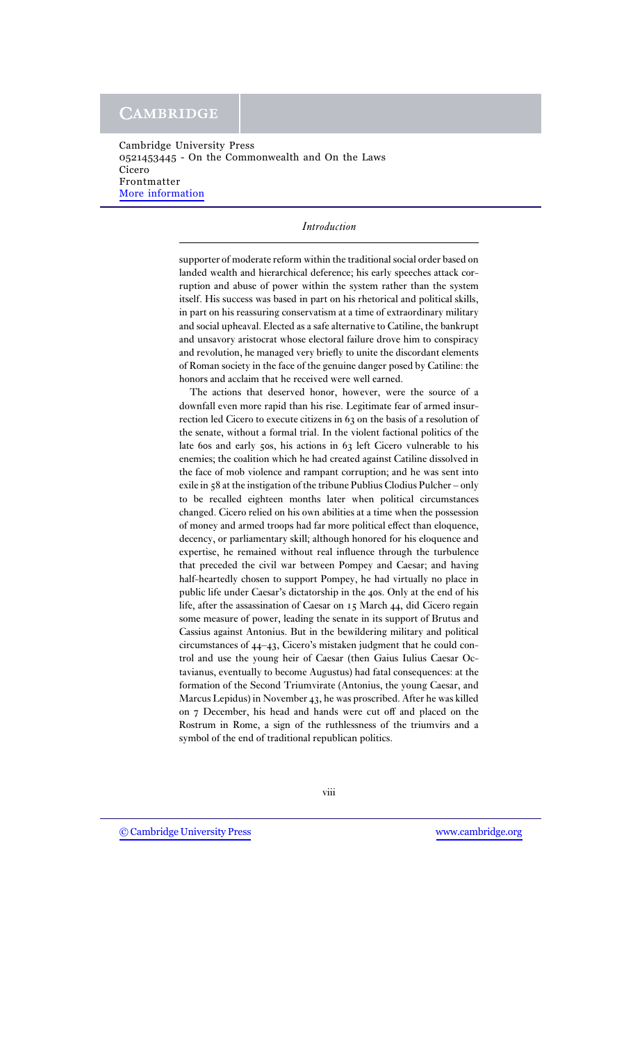#### *Introduction*

supporter of moderate reform within the traditional social order based on landed wealth and hierarchical deference; his early speeches attack corruption and abuse of power within the system rather than the system itself. His success was based in part on his rhetorical and political skills, in part on his reassuring conservatism at a time of extraordinary military and social upheaval. Elected as a safe alternative to Catiline, the bankrupt and unsavory aristocrat whose electoral failure drove him to conspiracy and revolution, he managed very briefly to unite the discordant elements of Roman society in the face of the genuine danger posed by Catiline: the honors and acclaim that he received were well earned.

The actions that deserved honor, however, were the source of a downfall even more rapid than his rise. Legitimate fear of armed insurrection led Cicero to execute citizens in 63 on the basis of a resolution of the senate, without a formal trial. In the violent factional politics of the late 60s and early 50s, his actions in 63 left Cicero vulnerable to his enemies; the coalition which he had created against Catiline dissolved in the face of mob violence and rampant corruption; and he was sent into exile in  $58$  at the instigation of the tribune Publius Clodius Pulcher – only to be recalled eighteen months later when political circumstances changed. Cicero relied on his own abilities at a time when the possession of money and armed troops had far more political effect than eloquence, decency, or parliamentary skill; although honored for his eloquence and expertise, he remained without real influence through the turbulence that preceded the civil war between Pompey and Caesar; and having half-heartedly chosen to support Pompey, he had virtually no place in public life under Caesar's dictatorship in the 40s. Only at the end of his life, after the assassination of Caesar on  $15$  March  $44$ , did Cicero regain some measure of power, leading the senate in its support of Brutus and Cassius against Antonius. But in the bewildering military and political circumstances of  $44-43$ , Cicero's mistaken judgment that he could control and use the young heir of Caesar (then Gaius Iulius Caesar Octavianus, eventually to become Augustus) had fatal consequences: at the formation of the Second Triumvirate (Antonius, the young Caesar, and Marcus Lepidus) in November 43, he was proscribed. After he was killed on 7 December, his head and hands were cut off and placed on the Rostrum in Rome, a sign of the ruthlessness of the triumvirs and a symbol of the end of traditional republican politics.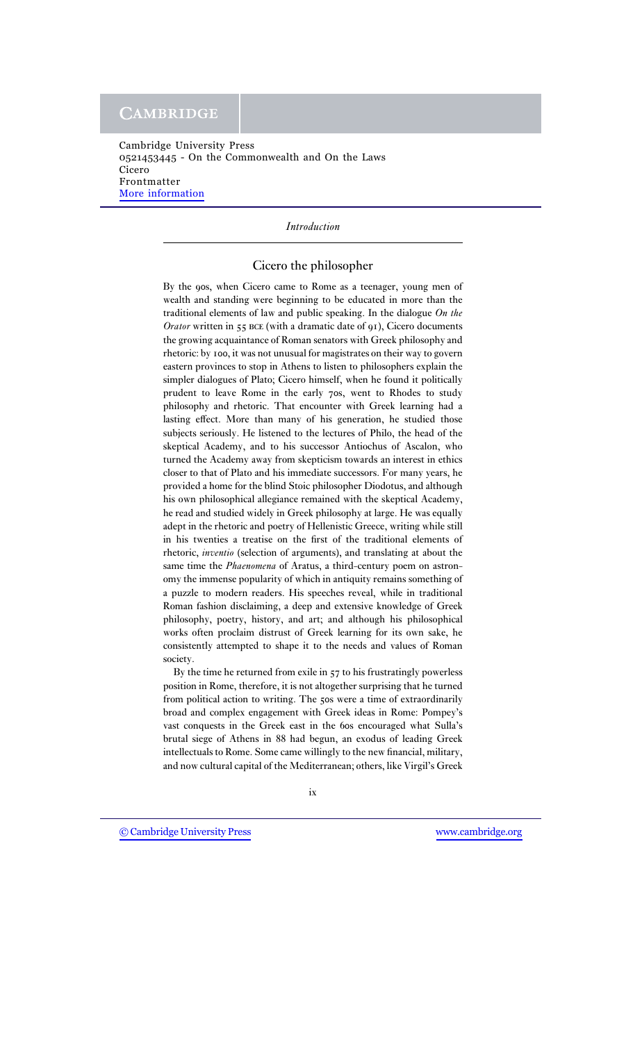#### *Introduction*

## Cicero the philosopher

By the gos, when Cicero came to Rome as a teenager, young men of wealth and standing were beginning to be educated in more than the traditional elements of law and public speaking. In the dialogue *On the Orator* written in 55 BCE (with a dramatic date of 91), Cicero documents the growing acquaintance of Roman senators with Greek philosophy and rhetoric: by 100, it was not unusual for magistrates on their way to govern eastern provinces to stop in Athens to listen to philosophers explain the simpler dialogues of Plato; Cicero himself, when he found it politically prudent to leave Rome in the early 70s, went to Rhodes to study philosophy and rhetoric. That encounter with Greek learning had a lasting effect. More than many of his generation, he studied those subjects seriously. He listened to the lectures of Philo, the head of the skeptical Academy, and to his successor Antiochus of Ascalon, who turned the Academy away from skepticism towards an interest in ethics closer to that of Plato and his immediate successors. For many years, he provided a home for the blind Stoic philosopher Diodotus, and although his own philosophical allegiance remained with the skeptical Academy, he read and studied widely in Greek philosophy at large. He was equally adept in the rhetoric and poetry of Hellenistic Greece, writing while still in his twenties a treatise on the first of the traditional elements of rhetoric, *inventio* (selection of arguments), and translating at about the same time the *Phaenomena* of Aratus, a third-century poem on astronomy the immense popularity of which in antiquity remains something of a puzzle to modern readers. His speeches reveal, while in traditional Roman fashion disclaiming, a deep and extensive knowledge of Greek philosophy, poetry, history, and art; and although his philosophical works often proclaim distrust of Greek learning for its own sake, he consistently attempted to shape it to the needs and values of Roman society.

By the time he returned from exile in  $57$  to his frustratingly powerless position in Rome, therefore, it is not altogether surprising that he turned from political action to writing. The 50s were a time of extraordinarily broad and complex engagement with Greek ideas in Rome: Pompey's vast conquests in the Greek east in the 60s encouraged what Sulla's brutal siege of Athens in 88 had begun, an exodus of leading Greek intellectuals to Rome. Some came willingly to the new financial, military, and now cultural capital of the Mediterranean; others, like Virgil's Greek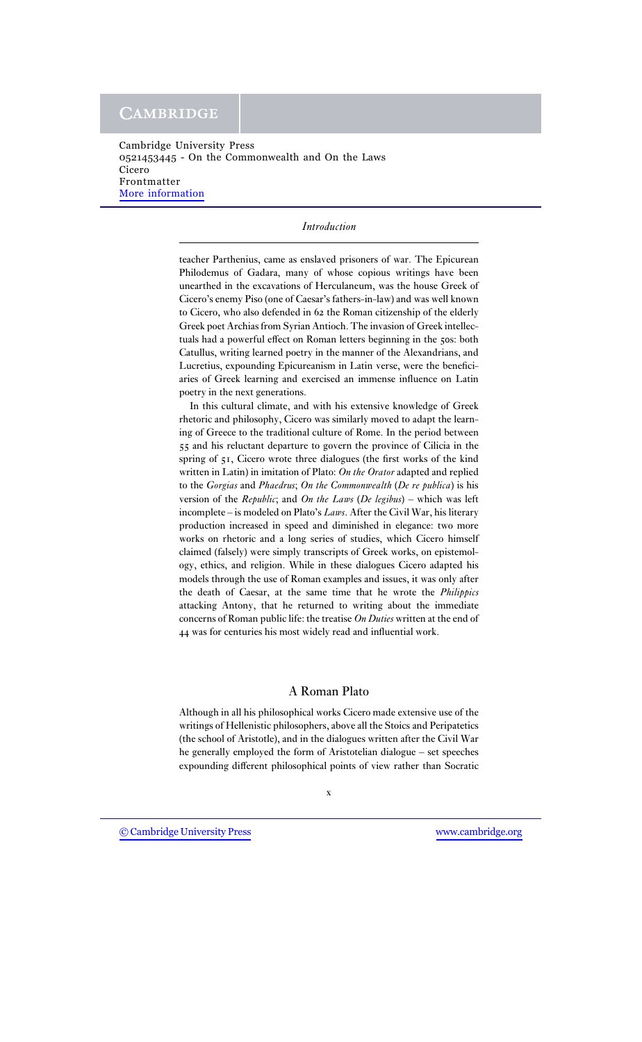#### *Introduction*

teacher Parthenius, came as enslaved prisoners of war. The Epicurean Philodemus of Gadara, many of whose copious writings have been unearthed in the excavations of Herculaneum, was the house Greek of Cicero's enemy Piso (one of Caesar's fathers-in-law) and was well known to Cicero, who also defended in 62 the Roman citizenship of the elderly Greek poet Archias from Syrian Antioch. The invasion of Greek intellectuals had a powerful effect on Roman letters beginning in the 50s: both Catullus, writing learned poetry in the manner of the Alexandrians, and Lucretius, expounding Epicureanism in Latin verse, were the beneficiaries of Greek learning and exercised an immense influence on Latin poetry in the next generations.

In this cultural climate, and with his extensive knowledge of Greek rhetoric and philosophy, Cicero was similarly moved to adapt the learning of Greece to the traditional culture of Rome. In the period between 55 and his reluctant departure to govern the province of Cilicia in the spring of 51, Cicero wrote three dialogues (the first works of the kind written in Latin) in imitation of Plato: *On the Orator* adapted and replied to the *Gorgias* and *Phaedrus*; *On the Commonwealth* (*De re publica*) is his version of the *Republic*; and *On the Laws* (*De legibus*) – which was left incomplete – is modeled on Plato's *Laws*. After the Civil War, his literary production increased in speed and diminished in elegance: two more works on rhetoric and a long series of studies, which Cicero himself claimed (falsely) were simply transcripts of Greek works, on epistemology, ethics, and religion. While in these dialogues Cicero adapted his models through the use of Roman examples and issues, it was only after the death of Caesar, at the same time that he wrote the *Philippics* attacking Antony, that he returned to writing about the immediate concerns of Roman public life: the treatise *On Duties* written at the end of 44 was for centuries his most widely read and influential work.

#### A Roman Plato

Although in all his philosophical works Cicero made extensive use of the writings of Hellenistic philosophers, above all the Stoics and Peripatetics (the school of Aristotle), and in the dialogues written after the Civil War he generally employed the form of Aristotelian dialogue – set speeches expounding different philosophical points of view rather than Socratic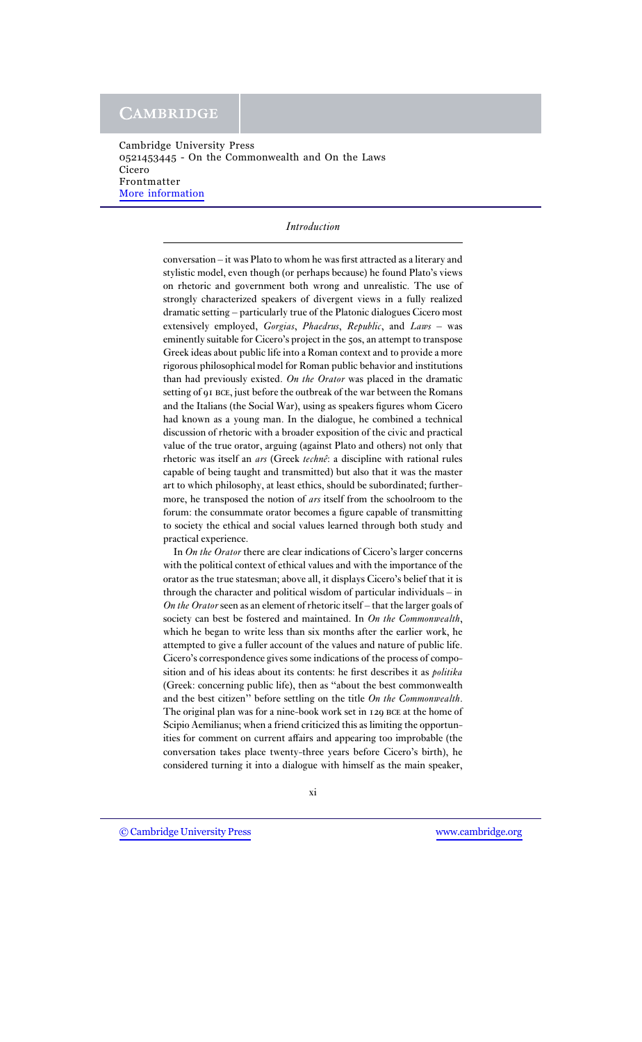#### *Introduction*

conversation – it was Plato to whom he was first attracted as a literary and stylistic model, even though (or perhaps because) he found Plato's views on rhetoric and government both wrong and unrealistic. The use of strongly characterized speakers of divergent views in a fully realized dramatic setting – particularly true of the Platonic dialogues Cicero most extensively employed, *Gorgias*, *Phaedrus*, *Republic*, and *Laws* – was eminently suitable for Cicero's project in the 50s, an attempt to transpose Greek ideas about public life into a Roman context and to provide a more rigorous philosophical model for Roman public behavior and institutions than had previously existed. *On the Orator* was placed in the dramatic setting of 91 BCE, just before the outbreak of the war between the Romans and the Italians (the Social War), using as speakers figures whom Cicero had known as a young man. In the dialogue, he combined a technical discussion of rhetoric with a broader exposition of the civic and practical value of the true orator, arguing (against Plato and others) not only that rhetoric was itself an *ars* (Greek *techneˆ*: a discipline with rational rules capable of being taught and transmitted) but also that it was the master art to which philosophy, at least ethics, should be subordinated; furthermore, he transposed the notion of *ars* itself from the schoolroom to the forum: the consummate orator becomes a figure capable of transmitting to society the ethical and social values learned through both study and practical experience.

In *On the Orator* there are clear indications of Cicero's larger concerns with the political context of ethical values and with the importance of the orator as the true statesman; above all, it displays Cicero's belief that it is through the character and political wisdom of particular individuals – in *On the Orator*seen as an element of rhetoric itself – that the larger goals of society can best be fostered and maintained. In *On the Commonwealth*, which he began to write less than six months after the earlier work, he attempted to give a fuller account of the values and nature of public life. Cicero's correspondence gives some indications of the process of composition and of his ideas about its contents: he first describes it as *politika* (Greek: concerning public life), then as ''about the best commonwealth and the best citizen'' before settling on the title *On the Commonwealth*. The original plan was for a nine-book work set in 129 BCE at the home of Scipio Aemilianus; when a friend criticized this as limiting the opportunities for comment on current affairs and appearing too improbable (the conversation takes place twenty-three years before Cicero's birth), he considered turning it into a dialogue with himself as the main speaker,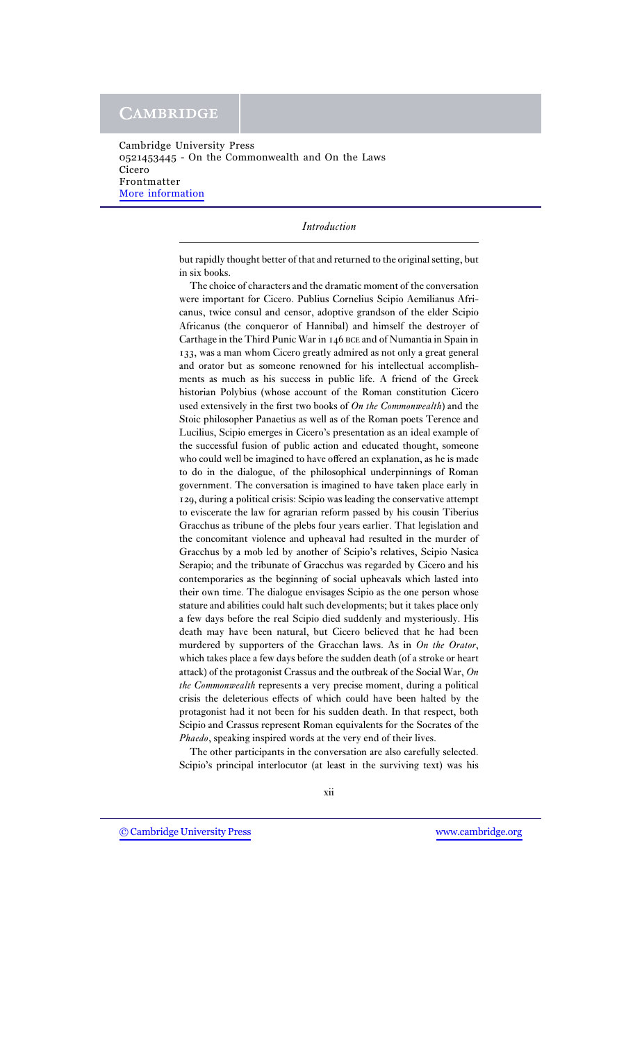Cambridge University Press 0521453445 - On the Commonwealth and On the Laws Cicero Frontmatter [More information](http://www.cambridge.org/0521453445)

#### *Introduction*

but rapidly thought better of that and returned to the original setting, but in six books.

The choice of characters and the dramatic moment of the conversation were important for Cicero. Publius Cornelius Scipio Aemilianus Africanus, twice consul and censor, adoptive grandson of the elder Scipio Africanus (the conqueror of Hannibal) and himself the destroyer of Carthage in the Third Punic War in 146 BCE and of Numantia in Spain in 133, was a man whom Cicero greatly admired as not only a great general and orator but as someone renowned for his intellectual accomplishments as much as his success in public life. A friend of the Greek historian Polybius (whose account of the Roman constitution Cicero used extensively in the first two books of *On the Commonwealth*) and the Stoic philosopher Panaetius as well as of the Roman poets Terence and Lucilius, Scipio emerges in Cicero's presentation as an ideal example of the successful fusion of public action and educated thought, someone who could well be imagined to have offered an explanation, as he is made to do in the dialogue, of the philosophical underpinnings of Roman government. The conversation is imagined to have taken place early in , during a political crisis: Scipio was leading the conservative attempt to eviscerate the law for agrarian reform passed by his cousin Tiberius Gracchus as tribune of the plebs four years earlier. That legislation and the concomitant violence and upheaval had resulted in the murder of Gracchus by a mob led by another of Scipio's relatives, Scipio Nasica Serapio; and the tribunate of Gracchus was regarded by Cicero and his contemporaries as the beginning of social upheavals which lasted into their own time. The dialogue envisages Scipio as the one person whose stature and abilities could halt such developments; but it takes place only a few days before the real Scipio died suddenly and mysteriously. His death may have been natural, but Cicero believed that he had been murdered by supporters of the Gracchan laws. As in *On the Orator*, which takes place a few days before the sudden death (of a stroke or heart attack) of the protagonist Crassus and the outbreak of the Social War, *On the Commonwealth* represents a very precise moment, during a political crisis the deleterious effects of which could have been halted by the protagonist had it not been for his sudden death. In that respect, both Scipio and Crassus represent Roman equivalents for the Socrates of the *Phaedo*, speaking inspired words at the very end of their lives.

The other participants in the conversation are also carefully selected. Scipio's principal interlocutor (at least in the surviving text) was his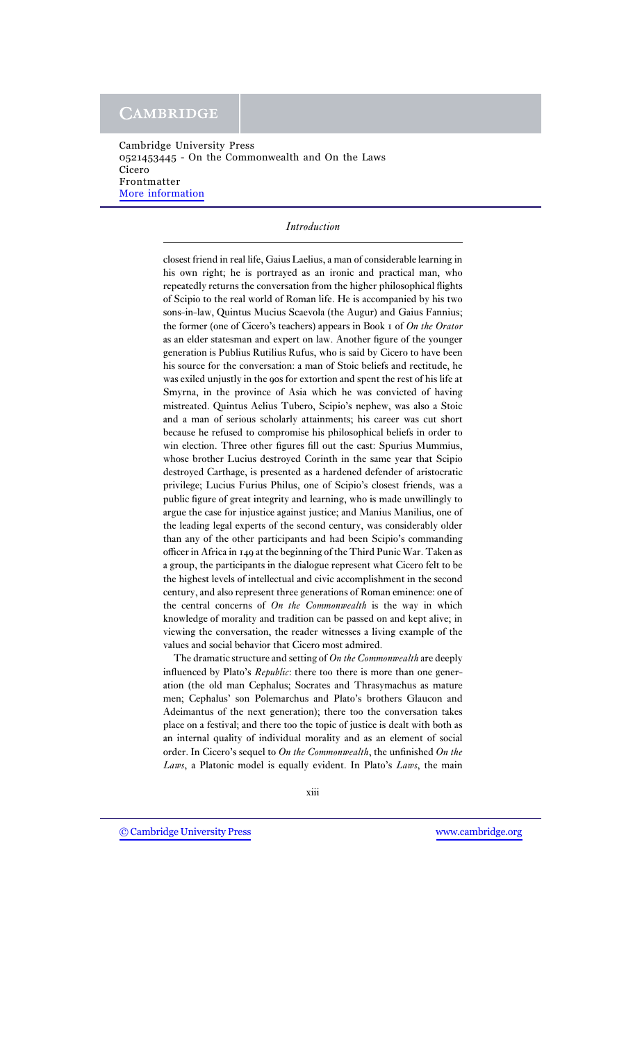#### *Introduction*

closest friend in real life, Gaius Laelius, a man of considerable learning in his own right; he is portrayed as an ironic and practical man, who repeatedly returns the conversation from the higher philosophical flights of Scipio to the real world of Roman life. He is accompanied by his two sons-in-law, Quintus Mucius Scaevola (the Augur) and Gaius Fannius; the former (one of Cicero's teachers) appears in Book I of *On the Orator* as an elder statesman and expert on law. Another figure of the younger generation is Publius Rutilius Rufus, who is said by Cicero to have been his source for the conversation: a man of Stoic beliefs and rectitude, he was exiled unjustly in the 90s for extortion and spent the rest of his life at Smyrna, in the province of Asia which he was convicted of having mistreated. Quintus Aelius Tubero, Scipio's nephew, was also a Stoic and a man of serious scholarly attainments; his career was cut short because he refused to compromise his philosophical beliefs in order to win election. Three other figures fill out the cast: Spurius Mummius, whose brother Lucius destroyed Corinth in the same year that Scipio destroyed Carthage, is presented as a hardened defender of aristocratic privilege; Lucius Furius Philus, one of Scipio's closest friends, was a public figure of great integrity and learning, who is made unwillingly to argue the case for injustice against justice; and Manius Manilius, one of the leading legal experts of the second century, was considerably older than any of the other participants and had been Scipio's commanding officer in Africa in 149 at the beginning of the Third Punic War. Taken as a group, the participants in the dialogue represent what Cicero felt to be the highest levels of intellectual and civic accomplishment in the second century, and also represent three generations of Roman eminence: one of the central concerns of *On the Commonwealth* is the way in which knowledge of morality and tradition can be passed on and kept alive; in viewing the conversation, the reader witnesses a living example of the values and social behavior that Cicero most admired.

The dramatic structure and setting of *On the Commonwealth* are deeply influenced by Plato's *Republic*: there too there is more than one generation (the old man Cephalus; Socrates and Thrasymachus as mature men; Cephalus' son Polemarchus and Plato's brothers Glaucon and Adeimantus of the next generation); there too the conversation takes place on a festival; and there too the topic of justice is dealt with both as an internal quality of individual morality and as an element of social order. In Cicero's sequel to *On the Commonwealth*, the unfinished *On the Laws*, a Platonic model is equally evident. In Plato's *Laws*, the main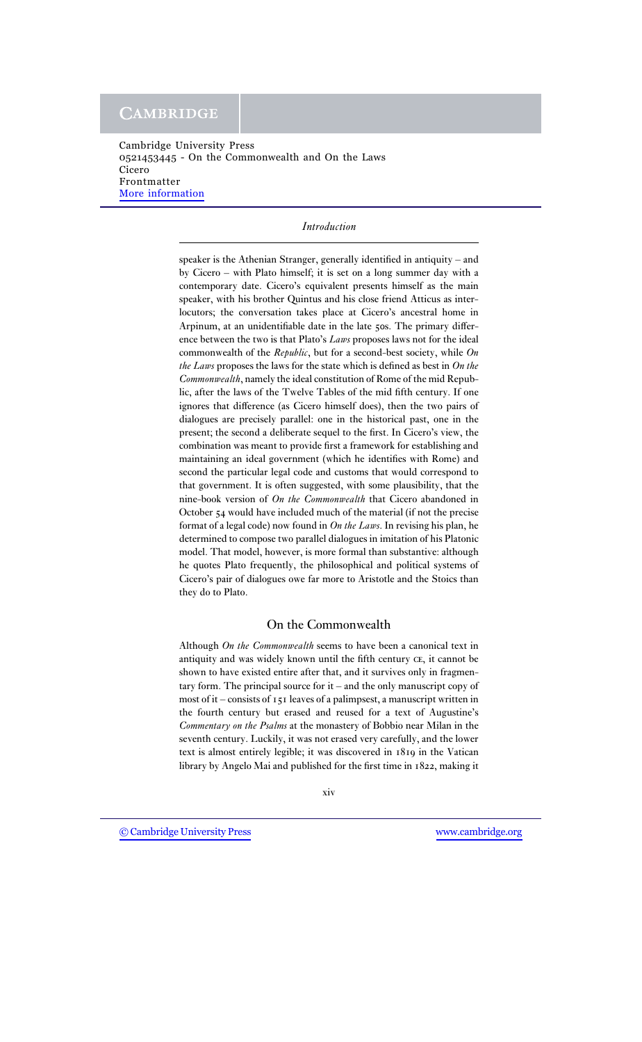#### *Introduction*

speaker is the Athenian Stranger, generally identified in antiquity – and by Cicero – with Plato himself; it is set on a long summer day with a contemporary date. Cicero's equivalent presents himself as the main speaker, with his brother Quintus and his close friend Atticus as interlocutors; the conversation takes place at Cicero's ancestral home in Arpinum, at an unidentifiable date in the late 50s. The primary difference between the two is that Plato's *Laws* proposes laws not for the ideal commonwealth of the *Republic*, but for a second-best society, while *On the Laws* proposes the laws for the state which is defined as best in *On the Commonwealth*, namely the ideal constitution of Rome of the mid Republic, after the laws of the Twelve Tables of the mid fifth century. If one ignores that difference (as Cicero himself does), then the two pairs of dialogues are precisely parallel: one in the historical past, one in the present; the second a deliberate sequel to the first. In Cicero's view, the combination was meant to provide first a framework for establishing and maintaining an ideal government (which he identifies with Rome) and second the particular legal code and customs that would correspond to that government. It is often suggested, with some plausibility, that the nine-book version of *On the Commonwealth* that Cicero abandoned in October 54 would have included much of the material (if not the precise format of a legal code) now found in *On the Laws*. In revising his plan, he determined to compose two parallel dialogues in imitation of his Platonic model. That model, however, is more formal than substantive: although he quotes Plato frequently, the philosophical and political systems of Cicero's pair of dialogues owe far more to Aristotle and the Stoics than they do to Plato.

#### On the Commonwealth

Although *On the Commonwealth* seems to have been a canonical text in antiquity and was widely known until the fifth century CE, it cannot be shown to have existed entire after that, and it survives only in fragmentary form. The principal source for it – and the only manuscript copy of most of it – consists of  $151$  leaves of a palimpsest, a manuscript written in the fourth century but erased and reused for a text of Augustine's *Commentary on the Psalms* at the monastery of Bobbio near Milan in the seventh century. Luckily, it was not erased very carefully, and the lower text is almost entirely legible; it was discovered in  $1819$  in the Vatican library by Angelo Mai and published for the first time in  $1822$ , making it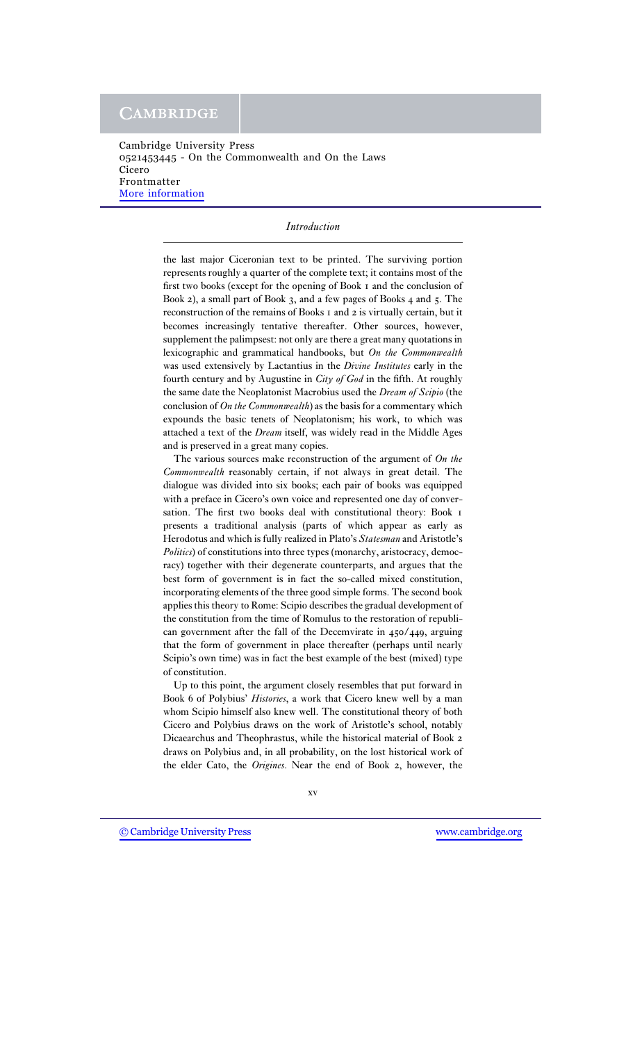#### *Introduction*

the last major Ciceronian text to be printed. The surviving portion represents roughly a quarter of the complete text; it contains most of the first two books (except for the opening of Book I and the conclusion of Book 2), a small part of Book 3, and a few pages of Books 4 and 5. The reconstruction of the remains of Books I and 2 is virtually certain, but it becomes increasingly tentative thereafter. Other sources, however, supplement the palimpsest: not only are there a great many quotations in lexicographic and grammatical handbooks, but *On the Commonwealth* was used extensively by Lactantius in the *Divine Institutes* early in the fourth century and by Augustine in *City of God* in the fifth. At roughly the same date the Neoplatonist Macrobius used the *Dream of Scipio* (the conclusion of *On the Commonwealth*) as the basis for a commentary which expounds the basic tenets of Neoplatonism; his work, to which was attached a text of the *Dream* itself, was widely read in the Middle Ages and is preserved in a great many copies.

The various sources make reconstruction of the argument of *On the Commonwealth* reasonably certain, if not always in great detail. The dialogue was divided into six books; each pair of books was equipped with a preface in Cicero's own voice and represented one day of conversation. The first two books deal with constitutional theory: Book I presents a traditional analysis (parts of which appear as early as Herodotus and which is fully realized in Plato's *Statesman* and Aristotle's *Politics*) of constitutions into three types (monarchy, aristocracy, democracy) together with their degenerate counterparts, and argues that the best form of government is in fact the so-called mixed constitution, incorporating elements of the three good simple forms. The second book applies this theory to Rome: Scipio describes the gradual development of the constitution from the time of Romulus to the restoration of republican government after the fall of the Decemvirate in  $450/449$ , arguing that the form of government in place thereafter (perhaps until nearly Scipio's own time) was in fact the best example of the best (mixed) type of constitution.

Up to this point, the argument closely resembles that put forward in Book 6 of Polybius' *Histories*, a work that Cicero knew well by a man whom Scipio himself also knew well. The constitutional theory of both Cicero and Polybius draws on the work of Aristotle's school, notably Dicaearchus and Theophrastus, while the historical material of Book draws on Polybius and, in all probability, on the lost historical work of the elder Cato, the *Origines*. Near the end of Book 2, however, the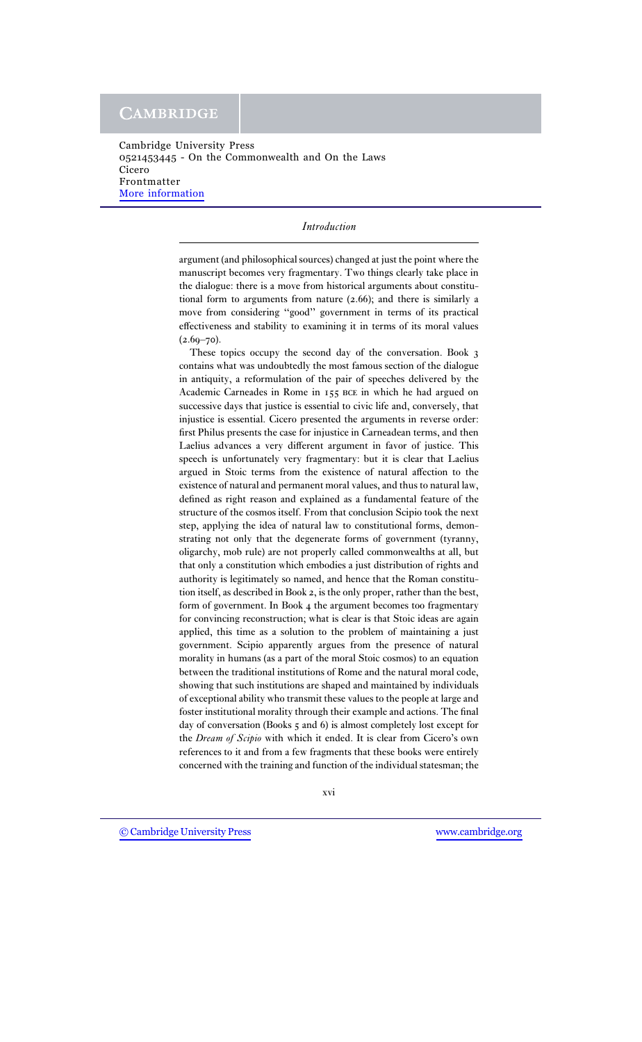#### *Introduction*

argument (and philosophical sources) changed at just the point where the manuscript becomes very fragmentary. Two things clearly take place in the dialogue: there is a move from historical arguments about constitutional form to arguments from nature  $(2.66)$ ; and there is similarly a move from considering ''good'' government in terms of its practical effectiveness and stability to examining it in terms of its moral values  $(2.69 - 70).$ 

These topics occupy the second day of the conversation. Book 3 contains what was undoubtedly the most famous section of the dialogue in antiquity, a reformulation of the pair of speeches delivered by the Academic Carneades in Rome in  $155$  BCE in which he had argued on successive days that justice is essential to civic life and, conversely, that injustice is essential. Cicero presented the arguments in reverse order: first Philus presents the case for injustice in Carneadean terms, and then Laelius advances a very different argument in favor of justice. This speech is unfortunately very fragmentary: but it is clear that Laelius argued in Stoic terms from the existence of natural affection to the existence of natural and permanent moral values, and thus to natural law, defined as right reason and explained as a fundamental feature of the structure of the cosmos itself. From that conclusion Scipio took the next step, applying the idea of natural law to constitutional forms, demonstrating not only that the degenerate forms of government (tyranny, oligarchy, mob rule) are not properly called commonwealths at all, but that only a constitution which embodies a just distribution of rights and authority is legitimately so named, and hence that the Roman constitution itself, as described in Book 2, is the only proper, rather than the best, form of government. In Book 4 the argument becomes too fragmentary for convincing reconstruction; what is clear is that Stoic ideas are again applied, this time as a solution to the problem of maintaining a just government. Scipio apparently argues from the presence of natural morality in humans (as a part of the moral Stoic cosmos) to an equation between the traditional institutions of Rome and the natural moral code, showing that such institutions are shaped and maintained by individuals of exceptional ability who transmit these values to the people at large and foster institutional morality through their example and actions. The final day of conversation (Books 5 and 6) is almost completely lost except for the *Dream of Scipio* with which it ended. It is clear from Cicero's own references to it and from a few fragments that these books were entirely concerned with the training and function of the individual statesman; the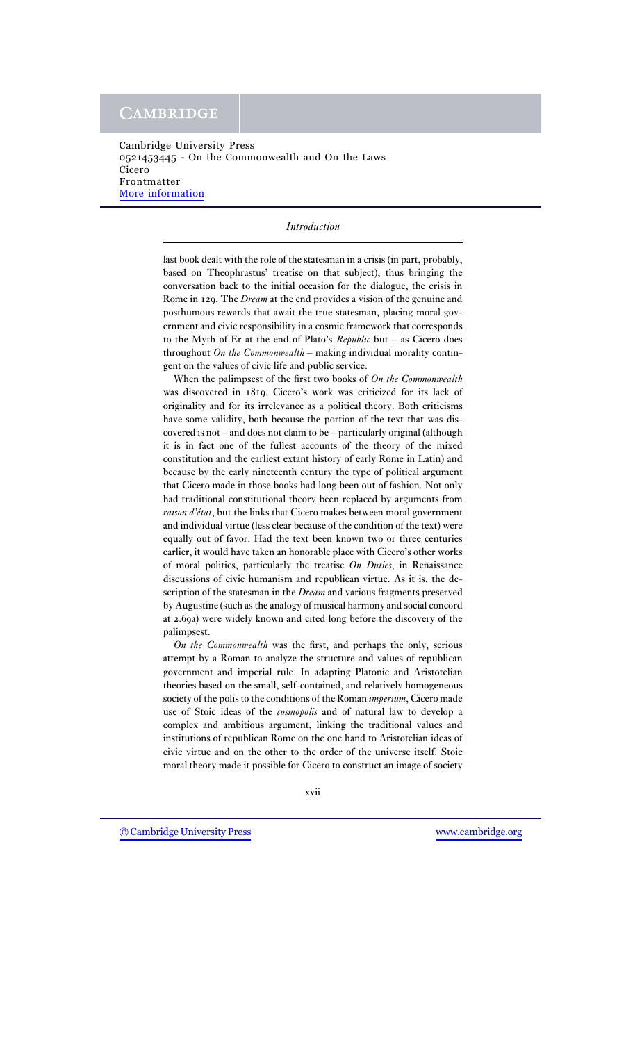#### *Introduction*

last book dealt with the role of the statesman in a crisis (in part, probably, based on Theophrastus' treatise on that subject), thus bringing the conversation back to the initial occasion for the dialogue, the crisis in Rome in 129. The *Dream* at the end provides a vision of the genuine and posthumous rewards that await the true statesman, placing moral government and civic responsibility in a cosmic framework that corresponds to the Myth of Er at the end of Plato's *Republic* but – as Cicero does throughout *On the Commonwealth* – making individual morality contingent on the values of civic life and public service.

When the palimpsest of the first two books of *On the Commonwealth* was discovered in 1819, Cicero's work was criticized for its lack of originality and for its irrelevance as a political theory. Both criticisms have some validity, both because the portion of the text that was discovered is not – and does not claim to be – particularly original (although it is in fact one of the fullest accounts of the theory of the mixed constitution and the earliest extant history of early Rome in Latin) and because by the early nineteenth century the type of political argument that Cicero made in those books had long been out of fashion. Not only had traditional constitutional theory been replaced by arguments from *raison d'e´tat*, but the links that Cicero makes between moral government and individual virtue (less clear because of the condition of the text) were equally out of favor. Had the text been known two or three centuries earlier, it would have taken an honorable place with Cicero's other works of moral politics, particularly the treatise *On Duties*, in Renaissance discussions of civic humanism and republican virtue. As it is, the description of the statesman in the *Dream* and various fragments preserved by Augustine (such as the analogy of musical harmony and social concord at 2.69a) were widely known and cited long before the discovery of the palimpsest.

*On the Commonwealth* was the first, and perhaps the only, serious attempt by a Roman to analyze the structure and values of republican government and imperial rule. In adapting Platonic and Aristotelian theories based on the small, self-contained, and relatively homogeneous society of the polis to the conditions of the Roman *imperium*, Cicero made use of Stoic ideas of the *cosmopolis* and of natural law to develop a complex and ambitious argument, linking the traditional values and institutions of republican Rome on the one hand to Aristotelian ideas of civic virtue and on the other to the order of the universe itself. Stoic moral theory made it possible for Cicero to construct an image of society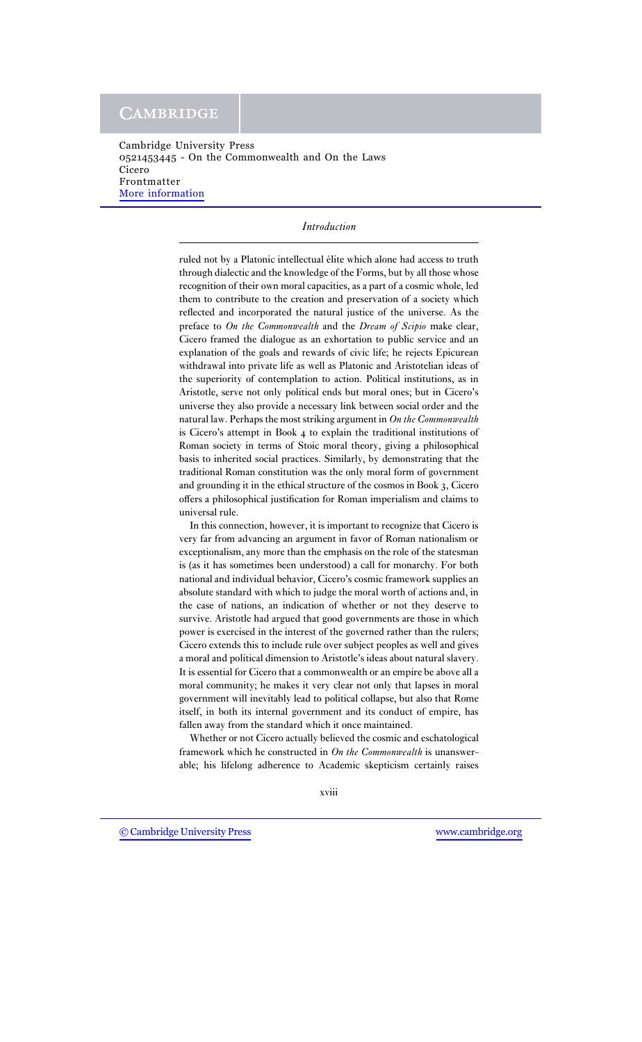Cambridge University Press 0521453445 - On the Commonwealth and On the Laws Cicero Frontmatter [More information](http://www.cambridge.org/0521453445)

#### *Introduction*

ruled not by a Platonic intellectual élite which alone had access to truth through dialectic and the knowledge of the Forms, but by all those whose recognition of their own moral capacities, as a part of a cosmic whole, led them to contribute to the creation and preservation of a society which reflected and incorporated the natural justice of the universe. As the preface to *On the Commonwealth* and the *Dream of Scipio* make clear, Cicero framed the dialogue as an exhortation to public service and an explanation of the goals and rewards of civic life; he rejects Epicurean withdrawal into private life as well as Platonic and Aristotelian ideas of the superiority of contemplation to action. Political institutions, as in Aristotle, serve not only political ends but moral ones; but in Cicero's universe they also provide a necessary link between social order and the natural law. Perhaps the most striking argument in *On the Commonwealth* is Cicero's attempt in Book 4 to explain the traditional institutions of Roman society in terms of Stoic moral theory, giving a philosophical basis to inherited social practices. Similarly, by demonstrating that the traditional Roman constitution was the only moral form of government and grounding it in the ethical structure of the cosmos in Book 3, Cicero offers a philosophical justification for Roman imperialism and claims to universal rule.

In this connection, however, it is important to recognize that Cicero is very far from advancing an argument in favor of Roman nationalism or exceptionalism, any more than the emphasis on the role of the statesman is (as it has sometimes been understood) a call for monarchy. For both national and individual behavior, Cicero's cosmic framework supplies an absolute standard with which to judge the moral worth of actions and, in the case of nations, an indication of whether or not they deserve to survive. Aristotle had argued that good governments are those in which power is exercised in the interest of the governed rather than the rulers; Cicero extends this to include rule over subject peoples as well and gives a moral and political dimension to Aristotle's ideas about natural slavery. It is essential for Cicero that a commonwealth or an empire be above all a moral community; he makes it very clear not only that lapses in moral government will inevitably lead to political collapse, but also that Rome itself, in both its internal government and its conduct of empire, has fallen away from the standard which it once maintained.

Whether or not Cicero actually believed the cosmic and eschatological framework which he constructed in *On the Commonwealth* is unanswerable; his lifelong adherence to Academic skepticism certainly raises

xviii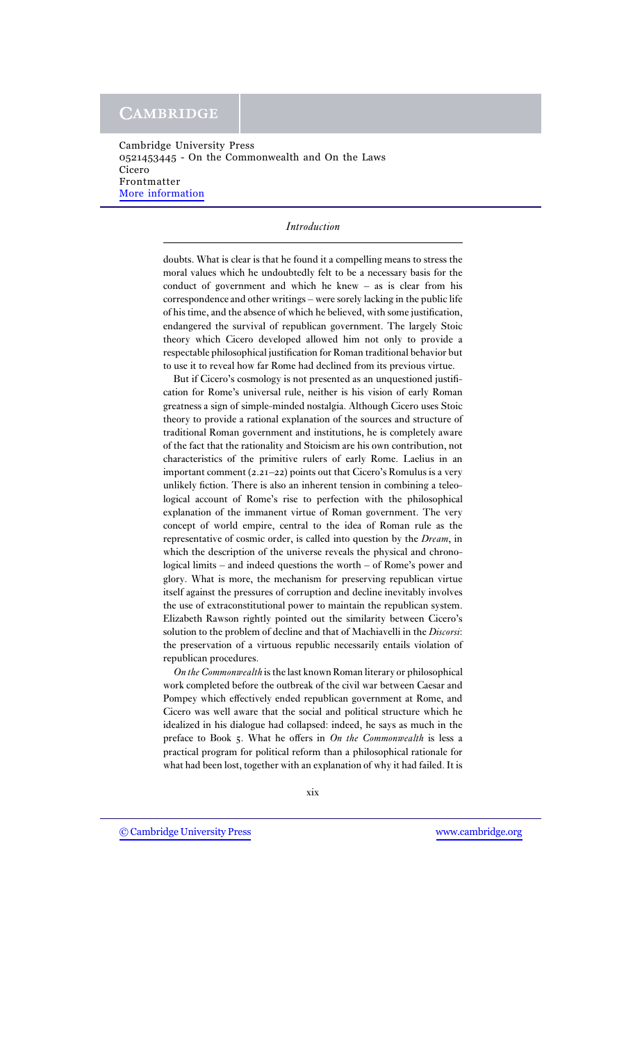#### *Introduction*

doubts. What is clear is that he found it a compelling means to stress the moral values which he undoubtedly felt to be a necessary basis for the conduct of government and which he knew – as is clear from his correspondence and other writings – were sorely lacking in the public life of his time, and the absence of which he believed, with some justification, endangered the survival of republican government. The largely Stoic theory which Cicero developed allowed him not only to provide a respectable philosophical justification for Roman traditional behavior but to use it to reveal how far Rome had declined from its previous virtue.

But if Cicero's cosmology is not presented as an unquestioned justification for Rome's universal rule, neither is his vision of early Roman greatness a sign of simple-minded nostalgia. Although Cicero uses Stoic theory to provide a rational explanation of the sources and structure of traditional Roman government and institutions, he is completely aware of the fact that the rationality and Stoicism are his own contribution, not characteristics of the primitive rulers of early Rome. Laelius in an important comment  $(2.2I-22)$  points out that Cicero's Romulus is a very unlikely fiction. There is also an inherent tension in combining a teleological account of Rome's rise to perfection with the philosophical explanation of the immanent virtue of Roman government. The very concept of world empire, central to the idea of Roman rule as the representative of cosmic order, is called into question by the *Dream*, in which the description of the universe reveals the physical and chronological limits – and indeed questions the worth – of Rome's power and glory. What is more, the mechanism for preserving republican virtue itself against the pressures of corruption and decline inevitably involves the use of extraconstitutional power to maintain the republican system. Elizabeth Rawson rightly pointed out the similarity between Cicero's solution to the problem of decline and that of Machiavelli in the *Discorsi*: the preservation of a virtuous republic necessarily entails violation of republican procedures.

*On the Commonwealth* is the last known Roman literary or philosophical work completed before the outbreak of the civil war between Caesar and Pompey which effectively ended republican government at Rome, and Cicero was well aware that the social and political structure which he idealized in his dialogue had collapsed: indeed, he says as much in the preface to Book 5. What he offers in *On the Commonwealth* is less a practical program for political reform than a philosophical rationale for what had been lost, together with an explanation of why it had failed. It is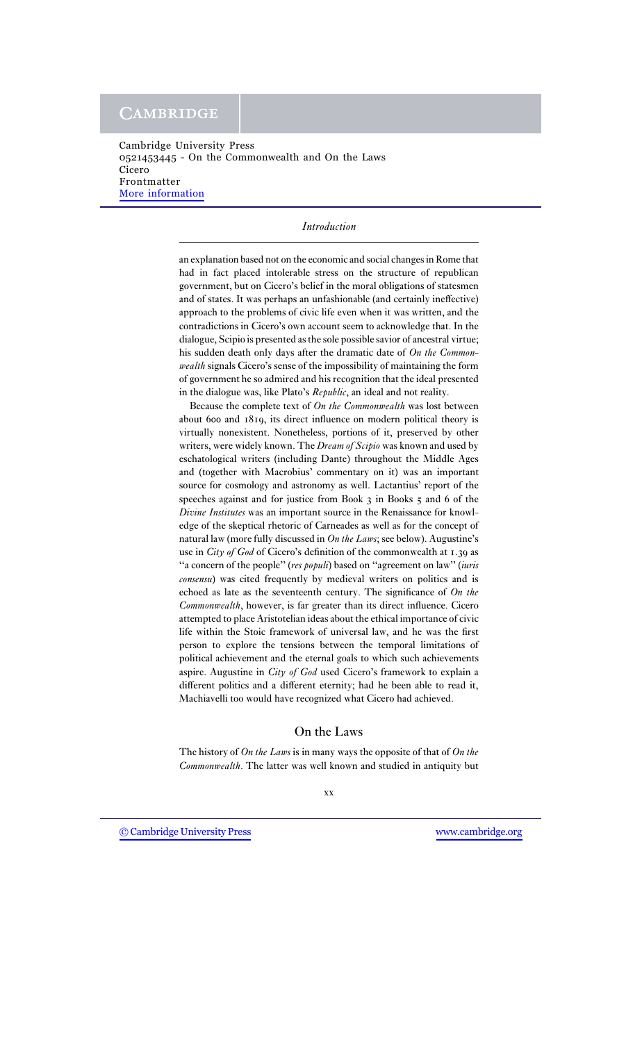#### *Introduction*

an explanation based not on the economic and social changes in Rome that had in fact placed intolerable stress on the structure of republican government, but on Cicero's belief in the moral obligations of statesmen and of states. It was perhaps an unfashionable (and certainly ineffective) approach to the problems of civic life even when it was written, and the contradictions in Cicero's own account seem to acknowledge that. In the dialogue, Scipio is presented as the sole possible savior of ancestral virtue; his sudden death only days after the dramatic date of *On the Commonwealth* signals Cicero's sense of the impossibility of maintaining the form of government he so admired and his recognition that the ideal presented in the dialogue was, like Plato's *Republic*, an ideal and not reality.

Because the complete text of *On the Commonwealth* was lost between about 600 and  $1819$ , its direct influence on modern political theory is virtually nonexistent. Nonetheless, portions of it, preserved by other writers, were widely known. The *Dream of Scipio* was known and used by eschatological writers (including Dante) throughout the Middle Ages and (together with Macrobius' commentary on it) was an important source for cosmology and astronomy as well. Lactantius' report of the speeches against and for justice from Book  $\alpha$  in Books  $\zeta$  and  $\alpha$  of the *Divine Institutes* was an important source in the Renaissance for knowledge of the skeptical rhetoric of Carneades as well as for the concept of natural law (more fully discussed in *On the Laws*; see below). Augustine's use in *City of God* of Cicero's definition of the commonwealth at 1.39 as ''a concern of the people'' (*res populi*) based on ''agreement on law'' (*iuris consensu*) was cited frequently by medieval writers on politics and is echoed as late as the seventeenth century. The significance of *On the Commonwealth*, however, is far greater than its direct influence. Cicero attempted to place Aristotelian ideas about the ethical importance of civic life within the Stoic framework of universal law, and he was the first person to explore the tensions between the temporal limitations of political achievement and the eternal goals to which such achievements aspire. Augustine in *City of God* used Cicero's framework to explain a different politics and a different eternity; had he been able to read it, Machiavelli too would have recognized what Cicero had achieved.

#### On the Laws

The history of *On the Laws* is in many ways the opposite of that of *On the Commonwealth*. The latter was well known and studied in antiquity but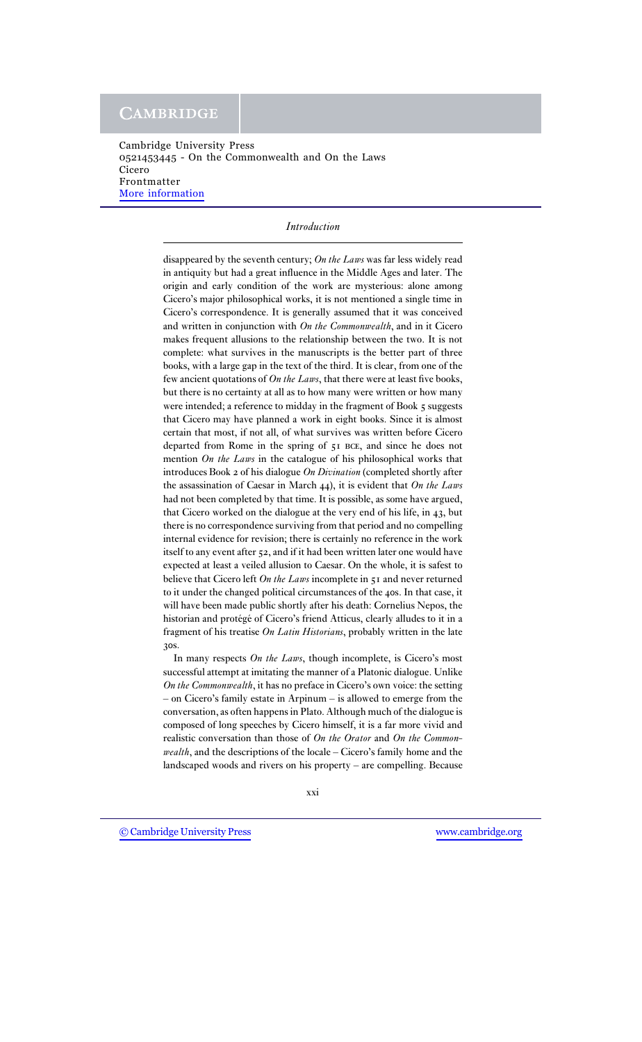#### *Introduction*

disappeared by the seventh century; *On the Laws* was far less widely read in antiquity but had a great influence in the Middle Ages and later. The origin and early condition of the work are mysterious: alone among Cicero's major philosophical works, it is not mentioned a single time in Cicero's correspondence. It is generally assumed that it was conceived and written in conjunction with *On the Commonwealth*, and in it Cicero makes frequent allusions to the relationship between the two. It is not complete: what survives in the manuscripts is the better part of three books, with a large gap in the text of the third. It is clear, from one of the few ancient quotations of *On the Laws*, that there were at least five books, but there is no certainty at all as to how many were written or how many were intended; a reference to midday in the fragment of Book 5 suggests that Cicero may have planned a work in eight books. Since it is almost certain that most, if not all, of what survives was written before Cicero departed from Rome in the spring of  $5I$  BCE, and since he does not mention *On the Laws* in the catalogue of his philosophical works that introduces Book 2 of his dialogue *On Divination* (completed shortly after the assassination of Caesar in March 44), it is evident that *On the Laws* had not been completed by that time. It is possible, as some have argued, that Cicero worked on the dialogue at the very end of his life, in 43, but there is no correspondence surviving from that period and no compelling internal evidence for revision; there is certainly no reference in the work itself to any event after 52, and if it had been written later one would have expected at least a veiled allusion to Caesar. On the whole, it is safest to believe that Cicero left *On the Laws* incomplete in 51 and never returned to it under the changed political circumstances of the 40s. In that case, it will have been made public shortly after his death: Cornelius Nepos, the historian and protégé of Cicero's friend Atticus, clearly alludes to it in a fragment of his treatise *On Latin Historians*, probably written in the late zos.

In many respects *On the Laws*, though incomplete, is Cicero's most successful attempt at imitating the manner of a Platonic dialogue. Unlike *On the Commonwealth*, it has no preface in Cicero's own voice: the setting – on Cicero's family estate in Arpinum – is allowed to emerge from the conversation, as often happens in Plato. Although much of the dialogue is composed of long speeches by Cicero himself, it is a far more vivid and realistic conversation than those of *On the Orator* and *On the Commonwealth*, and the descriptions of the locale – Cicero's family home and the landscaped woods and rivers on his property – are compelling. Because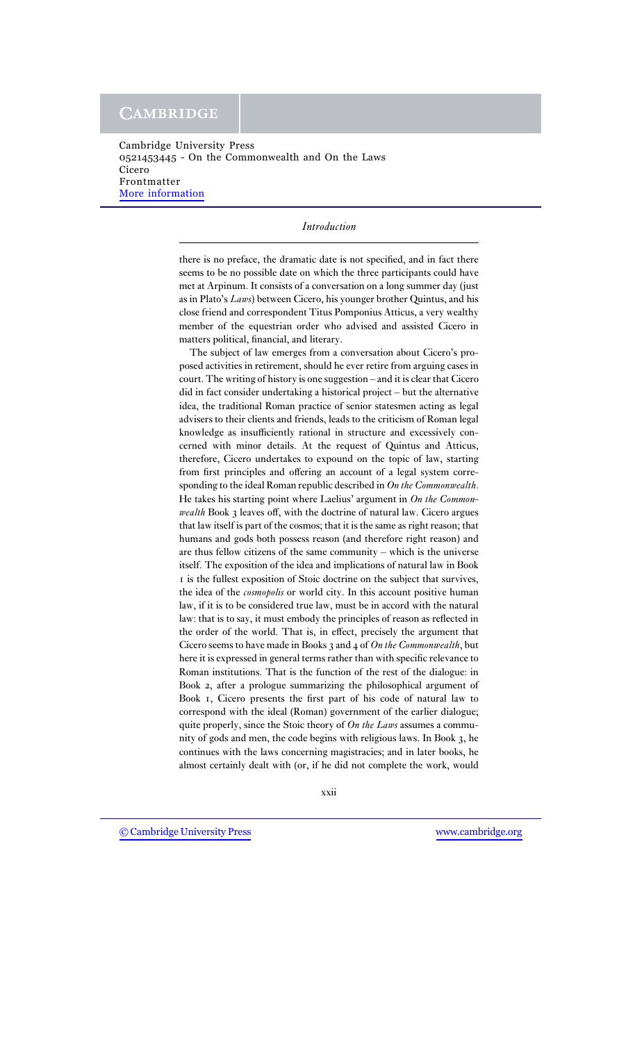#### *Introduction*

there is no preface, the dramatic date is not specified, and in fact there seems to be no possible date on which the three participants could have met at Arpinum. It consists of a conversation on a long summer day (just as in Plato's *Laws*) between Cicero, his younger brother Quintus, and his close friend and correspondent Titus Pomponius Atticus, a very wealthy member of the equestrian order who advised and assisted Cicero in matters political, financial, and literary.

The subject of law emerges from a conversation about Cicero's proposed activities in retirement, should he ever retire from arguing cases in court. The writing of history is one suggestion – and it is clear that Cicero did in fact consider undertaking a historical project – but the alternative idea, the traditional Roman practice of senior statesmen acting as legal advisers to their clients and friends, leads to the criticism of Roman legal knowledge as insufficiently rational in structure and excessively concerned with minor details. At the request of Quintus and Atticus, therefore, Cicero undertakes to expound on the topic of law, starting from first principles and offering an account of a legal system corresponding to the ideal Roman republic described in *On the Commonwealth*. He takes his starting point where Laelius' argument in *On the Commonwealth* Book 3 leaves off, with the doctrine of natural law. Cicero argues that law itself is part of the cosmos; that it is the same as right reason; that humans and gods both possess reason (and therefore right reason) and are thus fellow citizens of the same community – which is the universe itself. The exposition of the idea and implications of natural law in Book is the fullest exposition of Stoic doctrine on the subject that survives, the idea of the *cosmopolis* or world city. In this account positive human law, if it is to be considered true law, must be in accord with the natural law: that is to say, it must embody the principles of reason as reflected in the order of the world. That is, in effect, precisely the argument that Cicero seems to have made in Books 3 and 4 of *On the Commonwealth*, but here it is expressed in general terms rather than with specific relevance to Roman institutions. That is the function of the rest of the dialogue: in Book 2, after a prologue summarizing the philosophical argument of Book I, Cicero presents the first part of his code of natural law to correspond with the ideal (Roman) government of the earlier dialogue; quite properly, since the Stoic theory of *On the Laws* assumes a community of gods and men, the code begins with religious laws. In Book 3, he continues with the laws concerning magistracies; and in later books, he almost certainly dealt with (or, if he did not complete the work, would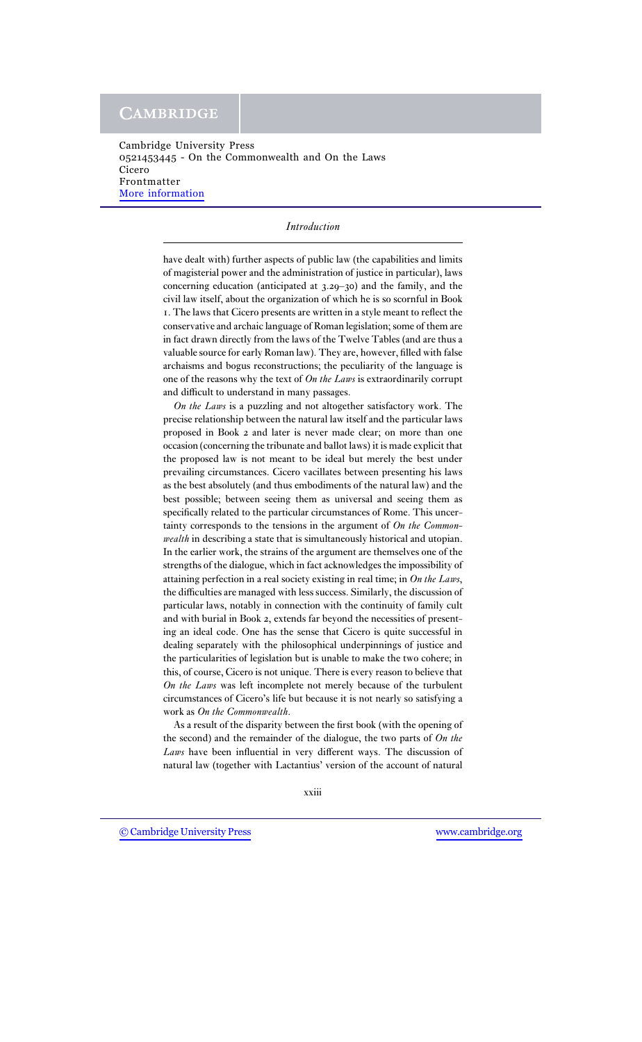#### *Introduction*

have dealt with) further aspects of public law (the capabilities and limits of magisterial power and the administration of justice in particular), laws concerning education (anticipated at  $3.29-30$ ) and the family, and the civil law itself, about the organization of which he is so scornful in Book . The laws that Cicero presents are written in a style meant to reflect the conservative and archaic language of Roman legislation; some of them are in fact drawn directly from the laws of the Twelve Tables (and are thus a valuable source for early Roman law). They are, however, filled with false archaisms and bogus reconstructions; the peculiarity of the language is one of the reasons why the text of *On the Laws* is extraordinarily corrupt and difficult to understand in many passages.

*On the Laws* is a puzzling and not altogether satisfactory work. The precise relationship between the natural law itself and the particular laws proposed in Book 2 and later is never made clear; on more than one occasion (concerning the tribunate and ballot laws) it is made explicit that the proposed law is not meant to be ideal but merely the best under prevailing circumstances. Cicero vacillates between presenting his laws as the best absolutely (and thus embodiments of the natural law) and the best possible; between seeing them as universal and seeing them as specifically related to the particular circumstances of Rome. This uncertainty corresponds to the tensions in the argument of *On the Commonwealth* in describing a state that is simultaneously historical and utopian. In the earlier work, the strains of the argument are themselves one of the strengths of the dialogue, which in fact acknowledges the impossibility of attaining perfection in a real society existing in real time; in *On the Laws*, the difficulties are managed with less success. Similarly, the discussion of particular laws, notably in connection with the continuity of family cult and with burial in Book 2, extends far beyond the necessities of presenting an ideal code. One has the sense that Cicero is quite successful in dealing separately with the philosophical underpinnings of justice and the particularities of legislation but is unable to make the two cohere; in this, of course, Cicero is not unique. There is every reason to believe that *On the Laws* was left incomplete not merely because of the turbulent circumstances of Cicero's life but because it is not nearly so satisfying a work as *On the Commonwealth*.

As a result of the disparity between the first book (with the opening of the second) and the remainder of the dialogue, the two parts of *On the Laws* have been influential in very different ways. The discussion of natural law (together with Lactantius' version of the account of natural

xxiii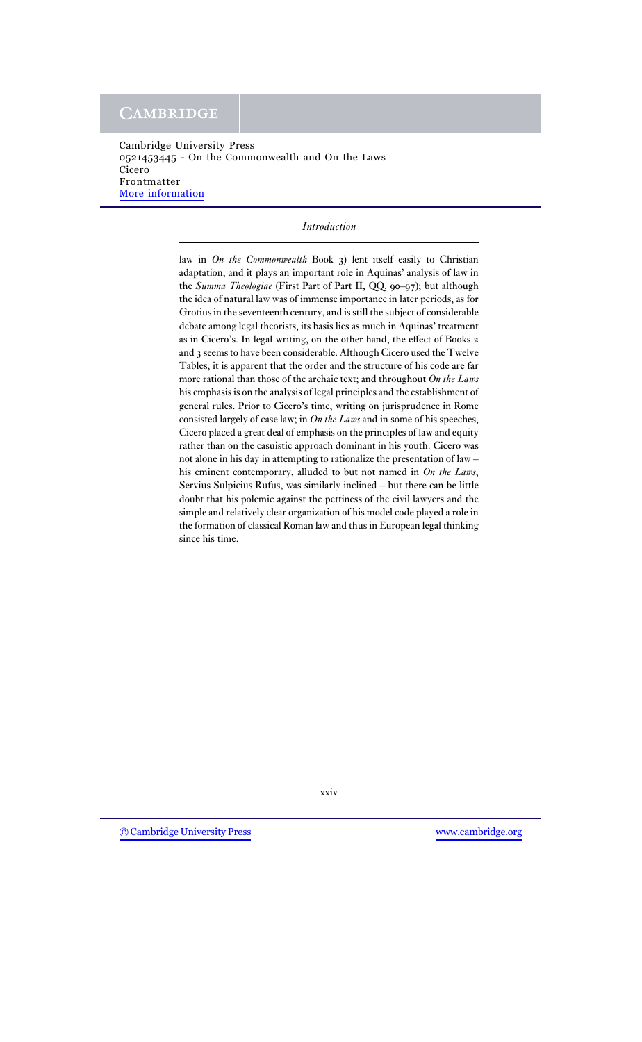#### *Introduction*

law in *On the Commonwealth* Book 3) lent itself easily to Christian adaptation, and it plays an important role in Aquinas' analysis of law in the *Summa Theologiae* (First Part of Part II, QQ. 90-97); but although the idea of natural law was of immense importance in later periods, as for Grotius in the seventeenth century, and is still the subject of considerable debate among legal theorists, its basis lies as much in Aquinas' treatment as in Cicero's. In legal writing, on the other hand, the effect of Books and 3 seems to have been considerable. Although Cicero used the Twelve Tables, it is apparent that the order and the structure of his code are far more rational than those of the archaic text; and throughout *On the Laws* his emphasis is on the analysis of legal principles and the establishment of general rules. Prior to Cicero's time, writing on jurisprudence in Rome consisted largely of case law; in *On the Laws* and in some of his speeches, Cicero placed a great deal of emphasis on the principles of law and equity rather than on the casuistic approach dominant in his youth. Cicero was not alone in his day in attempting to rationalize the presentation of law – his eminent contemporary, alluded to but not named in *On the Laws*, Servius Sulpicius Rufus, was similarly inclined – but there can be little doubt that his polemic against the pettiness of the civil lawyers and the simple and relatively clear organization of his model code played a role in the formation of classical Roman law and thus in European legal thinking since his time.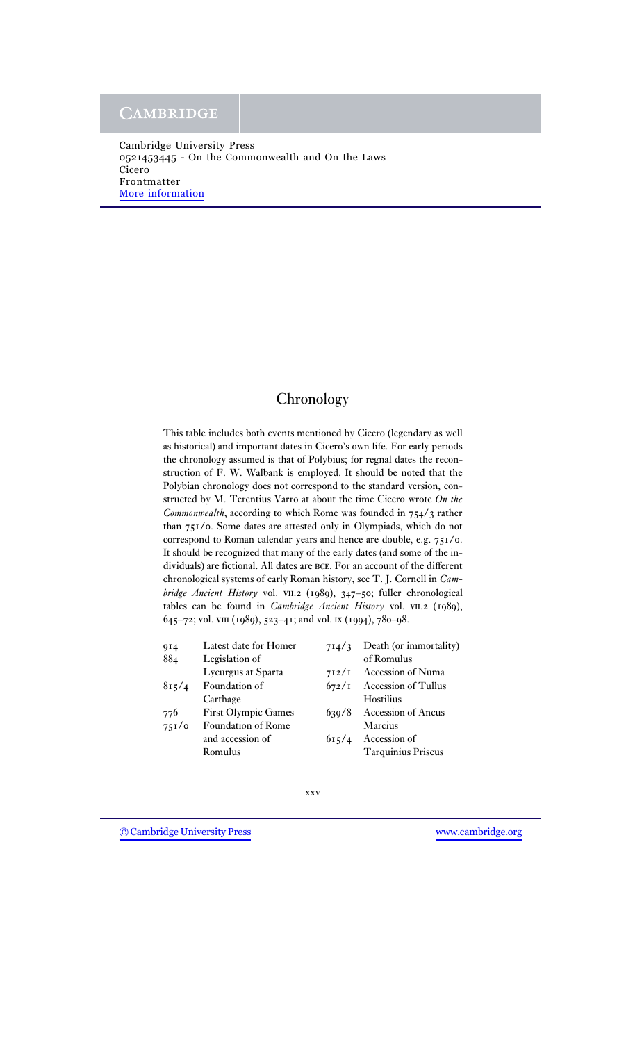Cambridge University Press 0521453445 - On the Commonwealth and On the Laws Cicero Frontmatter [More information](http://www.cambridge.org/0521453445)

## **Chronology**

This table includes both events mentioned by Cicero (legendary as well as historical) and important dates in Cicero's own life. For early periods the chronology assumed is that of Polybius; for regnal dates the reconstruction of F. W. Walbank is employed. It should be noted that the Polybian chronology does not correspond to the standard version, constructed by M. Terentius Varro at about the time Cicero wrote *On the Commonwealth*, according to which Rome was founded in  $754/3$  rather than  $751/$ o. Some dates are attested only in Olympiads, which do not correspond to Roman calendar years and hence are double, e.g.  $751/0$ . It should be recognized that many of the early dates (and some of the individuals) are fictional. All dates are BCE. For an account of the different chronological systems of early Roman history, see T. J. Cornell in *Cambridge Ancient History* vol. VII.2 (1989), 347-50; fuller chronological tables can be found in *Cambridge Ancient History* vol. VII.2 (1989),  $645 - 72$ ; vol. VIII (1989),  $523 - 41$ ; and vol. IX (1994),  $780 - 98$ .

| 914   | Latest date for Homer      | 714/3 | Death (or immortality)     |
|-------|----------------------------|-------|----------------------------|
| 884   | Legislation of             |       | of Romulus                 |
|       | <b>Lycurgus at Sparta</b>  | 712/1 | <b>Accession of Numa</b>   |
| 815/4 | Foundation of              | 672/1 | <b>Accession of Tullus</b> |
|       | Carthage                   |       | <b>Hostilius</b>           |
| 776   | <b>First Olympic Games</b> | 639/8 | Accession of Ancus         |
| 75I/0 | <b>Foundation of Rome</b>  |       | Marcius                    |
|       | and accession of           | 615/4 | Accession of               |
|       | Romulus                    |       | <b>Tarquinius Priscus</b>  |
|       |                            |       |                            |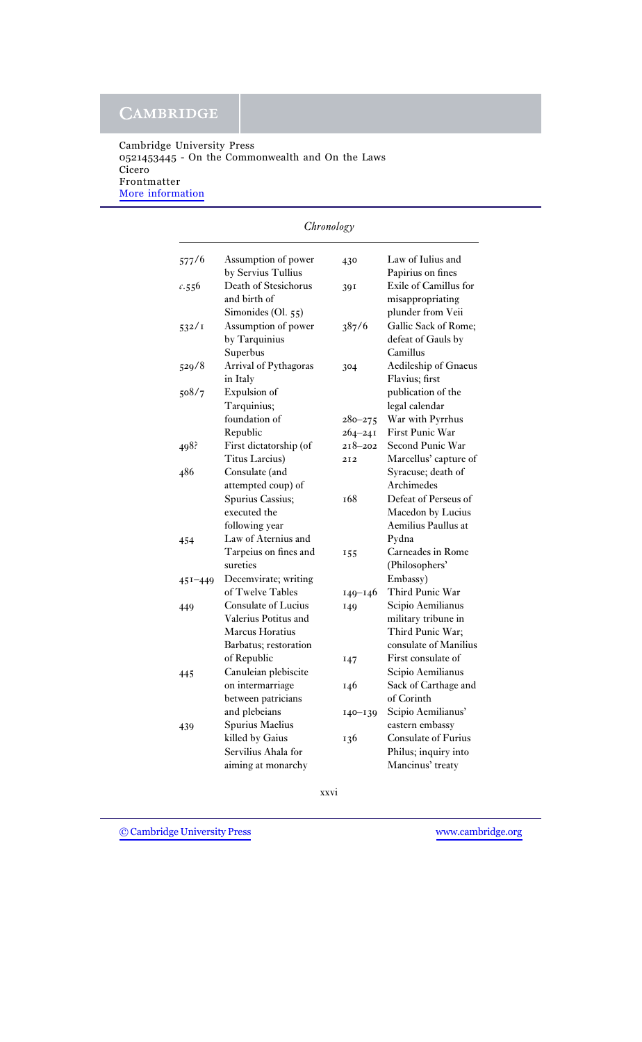#### Cambridge University Press 0521453445 - On the Commonwealth and On the Laws Cicero Frontmatter [More information](http://www.cambridge.org/0521453445)

| Chronology |                                           |                |                                           |
|------------|-------------------------------------------|----------------|-------------------------------------------|
| 577/6      | Assumption of power<br>by Servius Tullius | 430            | Law of Iulius and<br>Papirius on fines    |
| 6.556      | Death of Stesichorus<br>and birth of      | 391            | Exile of Camillus for<br>misappropriating |
|            | Simonides (Ol. 55)                        |                | plunder from Veii                         |
| 532/1      | Assumption of power                       | 387/6          | Gallic Sack of Rome;                      |
|            | by Tarquinius                             |                | defeat of Gauls by                        |
|            | Superbus                                  |                | Camillus                                  |
| 529/8      | Arrival of Pythagoras                     | 304            | Aedileship of Gnaeus                      |
|            | in Italy                                  |                | Flavius; first                            |
| 508/7      | Expulsion of                              |                | publication of the                        |
|            | Tarquinius;                               |                | legal calendar                            |
|            | foundation of                             | $280 - 275$    | War with Pyrrhus                          |
|            | Republic                                  | $264 - 241$    | <b>First Punic War</b>                    |
| 498?       | First dictatorship (of                    | $218 - 202$    | Second Punic War                          |
|            | Titus Larcius)                            | 212            | Marcellus' capture of                     |
| 486        | Consulate (and                            |                | Syracuse; death of                        |
|            | attempted coup) of                        |                | Archimedes                                |
|            | Spurius Cassius;                          | <sup>168</sup> | Defeat of Perseus of                      |
|            | executed the                              |                | Macedon by Lucius                         |
|            | following year                            |                | Aemilius Paullus at                       |
| 454        | Law of Aternius and                       |                | Pydna                                     |
|            | Tarpeius on fines and                     | 155            | Carneades in Rome                         |
|            | sureties                                  |                | (Philosophers'                            |
| 451–449    | Decemvirate; writing                      |                | Embassy)                                  |
|            | of Twelve Tables                          | $149 - 146$    | Third Punic War                           |
| 449        | <b>Consulate of Lucius</b>                | 149            | Scipio Aemilianus                         |
|            | Valerius Potitus and                      |                | military tribune in                       |
|            | Marcus Horatius                           |                | Third Punic War;                          |
|            | Barbatus; restoration                     |                | consulate of Manilius                     |
|            | of Republic                               | 147            | First consulate of                        |
| 445        | Canuleian plebiscite                      |                | Scipio Aemilianus                         |
|            | on intermarriage                          | 146            | Sack of Carthage and                      |
|            | between patricians                        |                | of Corinth                                |
|            | and plebeians                             | $140 - 139$    | Scipio Aemilianus'                        |
| 439        | Spurius Maelius                           |                | eastern embassy                           |
|            | killed by Gaius                           | 136            | <b>Consulate of Furius</b>                |
|            | Servilius Ahala for                       |                | Philus; inquiry into                      |
|            | aiming at monarchy                        |                | Mancinus' treaty                          |

xxvi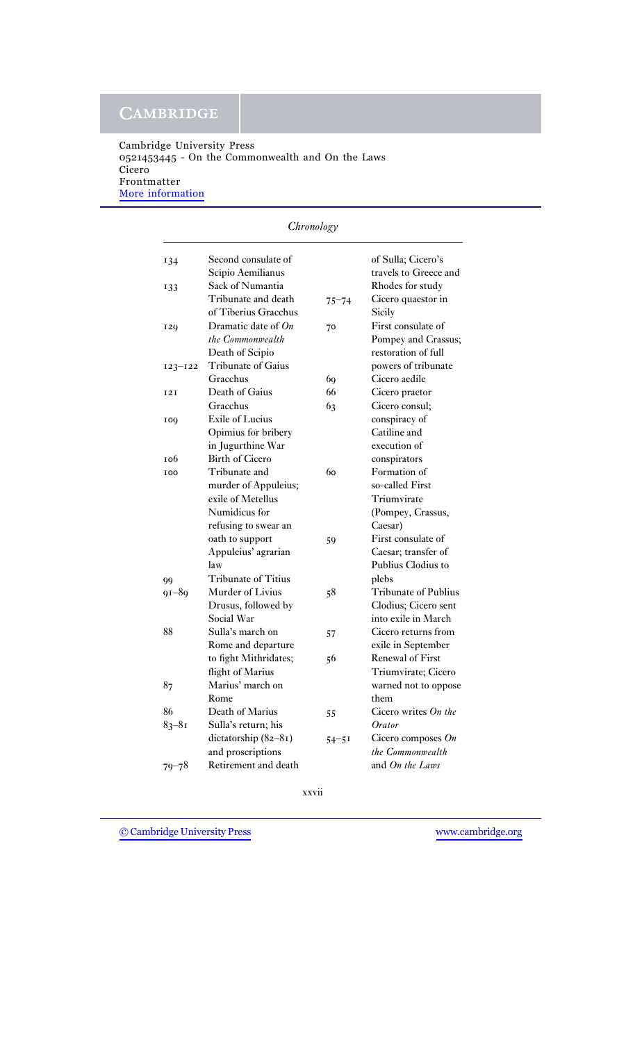#### Cambridge University Press 0521453445 - On the Commonwealth and On the Laws Cicero Frontmatter [More information](http://www.cambridge.org/0521453445)

|             |                            | Chronology |                             |
|-------------|----------------------------|------------|-----------------------------|
| 134         | Second consulate of        |            | of Sulla; Cicero's          |
|             | Scipio Aemilianus          |            | travels to Greece and       |
| 133         | Sack of Numantia           |            | Rhodes for study            |
|             | Tribunate and death        | $75 - 74$  | Cicero quaestor in          |
|             | of Tiberius Gracchus       |            | Sicily                      |
| 120         | Dramatic date of $On$      | 70         | First consulate of          |
|             | the Commonwealth           |            | Pompey and Crassus;         |
|             | Death of Scipio            |            | restoration of full         |
| $123 - 122$ | <b>Tribunate of Gaius</b>  |            | powers of tribunate         |
|             | Gracchus                   | 69         | Cicero aedile               |
| <b>I2I</b>  | Death of Gaius             | 66         | Cicero praetor              |
|             | Gracchus                   | 63         | Cicero consul;              |
| 100         | <b>Exile of Lucius</b>     |            | conspiracy of               |
|             | Opimius for bribery        |            | Catiline and                |
|             | in Jugurthine War          |            | execution of                |
| 106         | <b>Birth of Cicero</b>     |            | conspirators                |
| 100         | Tribunate and              | 60         | Formation of                |
|             | murder of Appuleius;       |            | so-called First             |
|             | exile of Metellus          |            | Triumvirate                 |
|             | Numidicus for              |            | (Pompey, Crassus,           |
|             | refusing to swear an       |            | Caesar)                     |
|             | oath to support            | 59         | First consulate of          |
|             | Appuleius' agrarian        |            | Caesar; transfer of         |
|             | law                        |            | Publius Clodius to          |
| 99          | <b>Tribunate of Titius</b> |            | plebs                       |
| $91 - 89$   | Murder of Livius           | 58         | <b>Tribunate of Publius</b> |
|             | Drusus, followed by        |            | Clodius; Cicero sent        |
|             | Social War                 |            | into exile in March         |
| 88          | Sulla's march on           | 57         | Cicero returns from         |
|             | Rome and departure         |            | exile in September          |
|             | to fight Mithridates;      | 56         | <b>Renewal of First</b>     |
|             | flight of Marius           |            | Triumvirate; Cicero         |
| 87          | Marius' march on           |            | warned not to oppose        |
|             | Rome                       |            | them                        |
| 86          | Death of Marius            | 55         | Cicero writes On the        |
| $83 - 81$   | Sulla's return; his        |            | Orator                      |
|             | dictatorship (82-81)       | $54 - 51$  | Cicero composes On          |
|             | and proscriptions          |            | the Commonwealth            |
| $79 - 78$   | Retirement and death       |            | and <i>On the Laws</i>      |

xxvii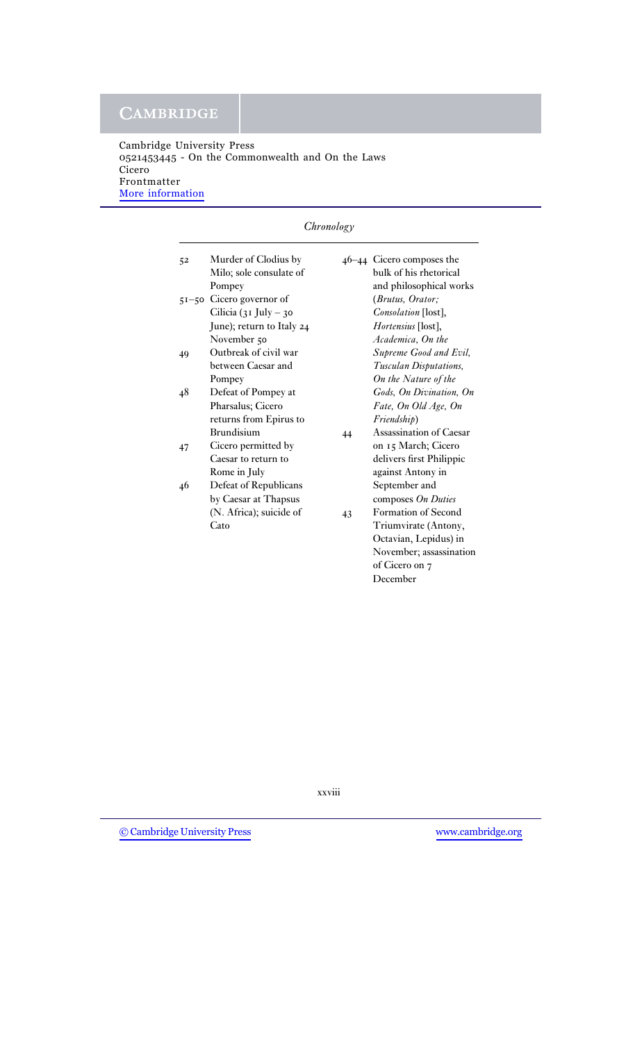| 52 | Murder of Clodius by       |    | 46-44 Cicero composes the |
|----|----------------------------|----|---------------------------|
|    | Milo; sole consulate of    |    | bulk of his rhetorical    |
|    | Pompey                     |    | and philosophical works   |
|    | $51-50$ Cicero governor of |    | <i>(Brutus, Orator;</i>   |
|    | Cilicia (31 July – 30      |    | Consolation [lost],       |
|    | June); return to Italy 24  |    | <i>Hortensius</i> [lost], |
|    | November 50                |    | Academica, On the         |
| 49 | Outbreak of civil war      |    | Supreme Good and Evil,    |
|    | between Caesar and         |    | Tusculan Disputations,    |
|    | Pompey                     |    | On the Nature of the      |
| 48 | Defeat of Pompey at        |    | Gods, On Divination, On   |
|    | Pharsalus; Cicero          |    | Fate, On Old Age, On      |
|    | returns from Epirus to     |    | Friendship)               |
|    | <b>Brundisium</b>          | 44 | Assassination of Caesar   |
| 47 | Cicero permitted by        |    | on 15 March; Cicero       |
|    | Caesar to return to        |    | delivers first Philippic  |
|    | Rome in July               |    | against Antony in         |
| 46 | Defeat of Republicans      |    | September and             |
|    | by Caesar at Thapsus       |    | composes On Duties        |
|    | (N. Africa); suicide of    | 43 | Formation of Second       |
|    | Cato                       |    | Triumvirate (Antony,      |
|    |                            |    | Octavian, Lepidus) in     |
|    |                            |    | November; assassination   |

of Cicero on December

xxviii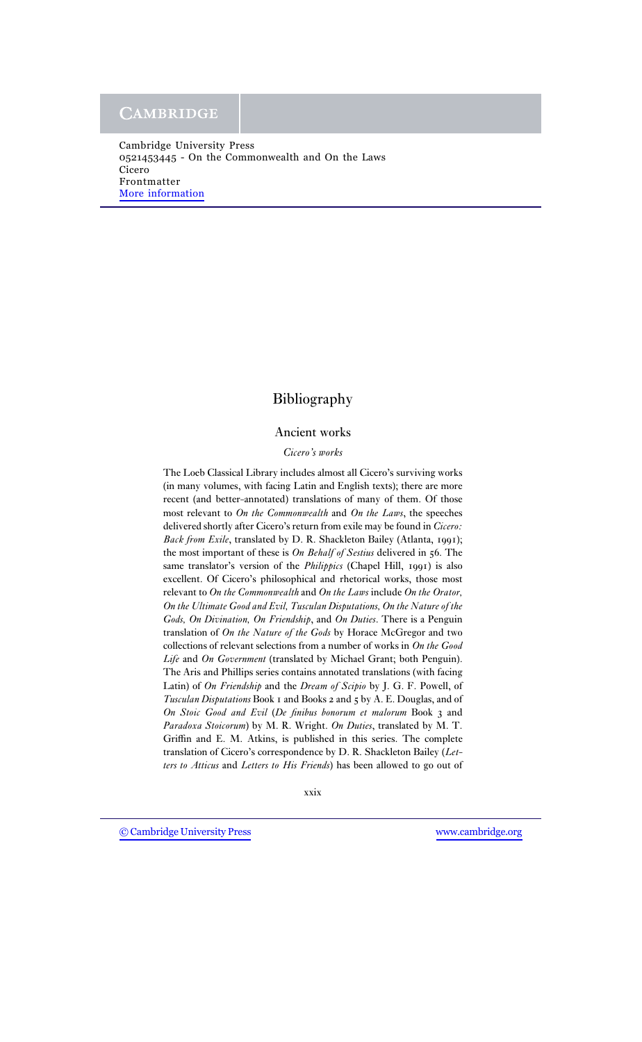Cambridge University Press 0521453445 - On the Commonwealth and On the Laws Cicero Frontmatter [More information](http://www.cambridge.org/0521453445)

## Bibliography

#### Ancient works

#### *Cicero's works*

The Loeb Classical Library includes almost all Cicero's surviving works (in many volumes, with facing Latin and English texts); there are more recent (and better-annotated) translations of many of them. Of those most relevant to *On the Commonwealth* and *On the Laws*, the speeches delivered shortly after Cicero's return from exile may be found in *Cicero: Back from Exile*, translated by D. R. Shackleton Bailey (Atlanta, 1991); the most important of these is *On Behalf of Sestius* delivered in 56. The same translator's version of the *Philippics* (Chapel Hill, 1991) is also excellent. Of Cicero's philosophical and rhetorical works, those most relevant to *On the Commonwealth* and *On the Laws* include *On the Orator, On the Ultimate Good and Evil, Tusculan Disputations, On the Nature of the Gods, On Divination, On Friendship*, and *On Duties*. There is a Penguin translation of *On the Nature of the Gods* by Horace McGregor and two collections of relevant selections from a number of works in *On the Good Life* and *On Government* (translated by Michael Grant; both Penguin). The Aris and Phillips series contains annotated translations (with facing Latin) of *On Friendship* and the *Dream of Scipio* by J. G. F. Powell, of *Tusculan Disputations* Book I and Books 2 and 5 by A. E. Douglas, and of *On Stoic Good and Evil (De finibus bonorum et malorum Book 3 and Paradoxa Stoicorum*) by M. R. Wright. *On Duties*, translated by M. T. Griffin and E. M. Atkins, is published in this series. The complete translation of Cicero's correspondence by D. R. Shackleton Bailey (*Letters to Atticus* and *Letters to His Friends*) has been allowed to go out of